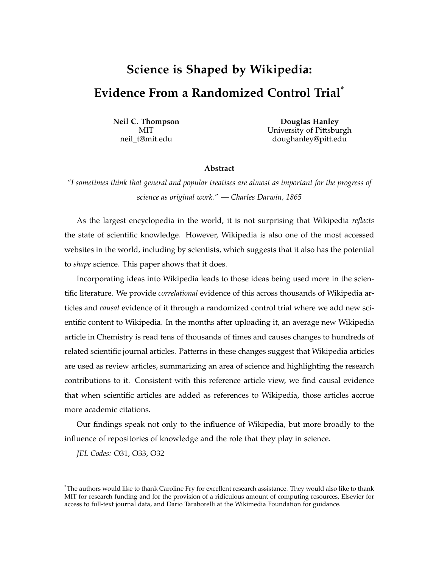# **Science is Shaped by Wikipedia: Evidence From a Randomized Control Trial\***

**Neil C. Thompson Douglas Hanley** MIT MIT University of Pittsburgh neil t@mit.edu doughanley@pitt.edu

#### **Abstract**

*"I sometimes think that general and popular treatises are almost as important for the progress of science as original work." — Charles Darwin, 1865*

As the largest encyclopedia in the world, it is not surprising that Wikipedia *reflects* the state of scientific knowledge. However, Wikipedia is also one of the most accessed websites in the world, including by scientists, which suggests that it also has the potential to *shape* science. This paper shows that it does.

Incorporating ideas into Wikipedia leads to those ideas being used more in the scientific literature. We provide *correlational* evidence of this across thousands of Wikipedia articles and *causal* evidence of it through a randomized control trial where we add new scientific content to Wikipedia. In the months after uploading it, an average new Wikipedia article in Chemistry is read tens of thousands of times and causes changes to hundreds of related scientific journal articles. Patterns in these changes suggest that Wikipedia articles are used as review articles, summarizing an area of science and highlighting the research contributions to it. Consistent with this reference article view, we find causal evidence that when scientific articles are added as references to Wikipedia, those articles accrue more academic citations.

Our findings speak not only to the influence of Wikipedia, but more broadly to the influence of repositories of knowledge and the role that they play in science.

*JEL Codes:* O31, O33, O32

<sup>\*</sup>The authors would like to thank Caroline Fry for excellent research assistance. They would also like to thank MIT for research funding and for the provision of a ridiculous amount of computing resources, Elsevier for access to full-text journal data, and Dario Taraborelli at the Wikimedia Foundation for guidance.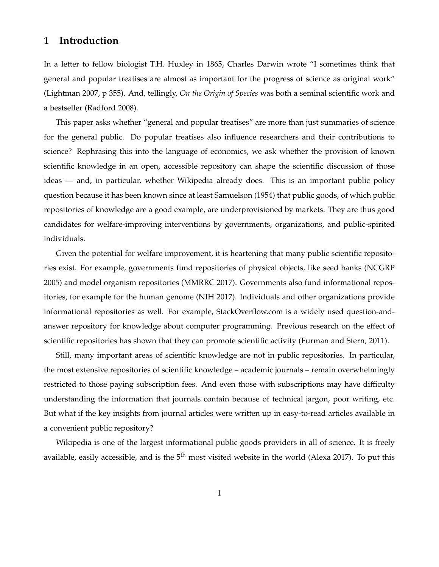### **1 Introduction**

In a letter to fellow biologist T.H. Huxley in 1865, Charles Darwin wrote "I sometimes think that general and popular treatises are almost as important for the progress of science as original work" (Lightman 2007, p 355). And, tellingly, *On the Origin of Species* was both a seminal scientific work and a bestseller (Radford 2008).

This paper asks whether "general and popular treatises" are more than just summaries of science for the general public. Do popular treatises also influence researchers and their contributions to science? Rephrasing this into the language of economics, we ask whether the provision of known scientific knowledge in an open, accessible repository can shape the scientific discussion of those ideas — and, in particular, whether Wikipedia already does. This is an important public policy question because it has been known since at least Samuelson (1954) that public goods, of which public repositories of knowledge are a good example, are underprovisioned by markets. They are thus good candidates for welfare-improving interventions by governments, organizations, and public-spirited individuals.

Given the potential for welfare improvement, it is heartening that many public scientific repositories exist. For example, governments fund repositories of physical objects, like seed banks (NCGRP 2005) and model organism repositories (MMRRC 2017). Governments also fund informational repositories, for example for the human genome (NIH 2017). Individuals and other organizations provide informational repositories as well. For example, StackOverflow.com is a widely used question-andanswer repository for knowledge about computer programming. Previous research on the effect of scientific repositories has shown that they can promote scientific activity (Furman and Stern, 2011).

Still, many important areas of scientific knowledge are not in public repositories. In particular, the most extensive repositories of scientific knowledge – academic journals – remain overwhelmingly restricted to those paying subscription fees. And even those with subscriptions may have difficulty understanding the information that journals contain because of technical jargon, poor writing, etc. But what if the key insights from journal articles were written up in easy-to-read articles available in a convenient public repository?

Wikipedia is one of the largest informational public goods providers in all of science. It is freely available, easily accessible, and is the  $5<sup>th</sup>$  most visited website in the world (Alexa 2017). To put this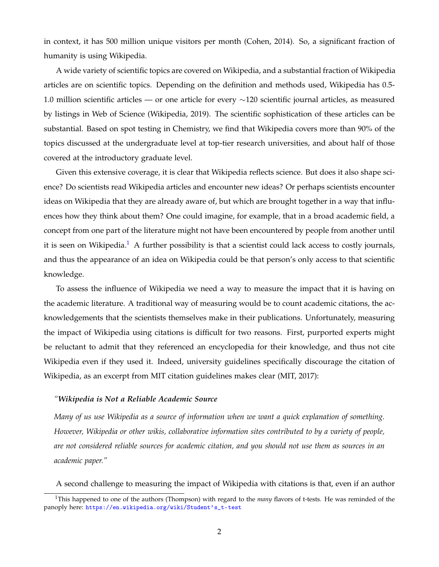in context, it has 500 million unique visitors per month (Cohen, 2014). So, a significant fraction of humanity is using Wikipedia.

A wide variety of scientific topics are covered on Wikipedia, and a substantial fraction of Wikipedia articles are on scientific topics. Depending on the definition and methods used, Wikipedia has 0.5- 1.0 million scientific articles — or one article for every ∼120 scientific journal articles, as measured by listings in Web of Science (Wikipedia, 2019). The scientific sophistication of these articles can be substantial. Based on spot testing in Chemistry, we find that Wikipedia covers more than 90% of the topics discussed at the undergraduate level at top-tier research universities, and about half of those covered at the introductory graduate level.

Given this extensive coverage, it is clear that Wikipedia reflects science. But does it also shape science? Do scientists read Wikipedia articles and encounter new ideas? Or perhaps scientists encounter ideas on Wikipedia that they are already aware of, but which are brought together in a way that influences how they think about them? One could imagine, for example, that in a broad academic field, a concept from one part of the literature might not have been encountered by people from another until it is seen on Wikipedia.<sup>[1](#page-2-0)</sup> A further possibility is that a scientist could lack access to costly journals, and thus the appearance of an idea on Wikipedia could be that person's only access to that scientific knowledge.

To assess the influence of Wikipedia we need a way to measure the impact that it is having on the academic literature. A traditional way of measuring would be to count academic citations, the acknowledgements that the scientists themselves make in their publications. Unfortunately, measuring the impact of Wikipedia using citations is difficult for two reasons. First, purported experts might be reluctant to admit that they referenced an encyclopedia for their knowledge, and thus not cite Wikipedia even if they used it. Indeed, university guidelines specifically discourage the citation of Wikipedia, as an excerpt from MIT citation guidelines makes clear (MIT, 2017):

### *"Wikipedia is Not a Reliable Academic Source*

*Many of us use Wikipedia as a source of information when we want a quick explanation of something. However, Wikipedia or other wikis, collaborative information sites contributed to by a variety of people, are not considered reliable sources for academic citation, and you should not use them as sources in an academic paper."*

<span id="page-2-0"></span>A second challenge to measuring the impact of Wikipedia with citations is that, even if an author

<sup>1</sup>This happened to one of the authors (Thompson) with regard to the *many* flavors of t-tests. He was reminded of the panoply here: [https://en.wikipedia.org/wiki/Student's\\_t-test](https://en.wikipedia.org/wiki/Student)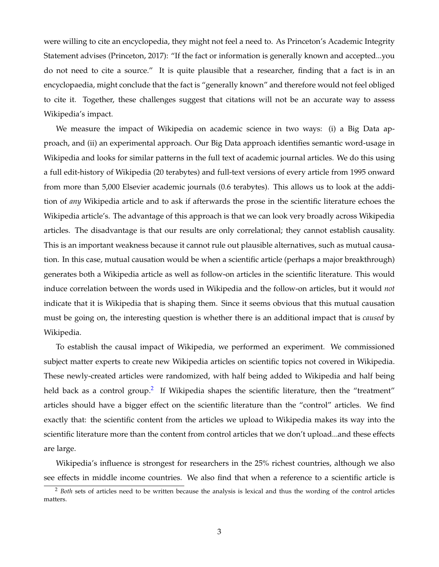were willing to cite an encyclopedia, they might not feel a need to. As Princeton's Academic Integrity Statement advises (Princeton, 2017): "If the fact or information is generally known and accepted...you do not need to cite a source." It is quite plausible that a researcher, finding that a fact is in an encyclopaedia, might conclude that the fact is "generally known" and therefore would not feel obliged to cite it. Together, these challenges suggest that citations will not be an accurate way to assess Wikipedia's impact.

We measure the impact of Wikipedia on academic science in two ways: (i) a Big Data approach, and (ii) an experimental approach. Our Big Data approach identifies semantic word-usage in Wikipedia and looks for similar patterns in the full text of academic journal articles. We do this using a full edit-history of Wikipedia (20 terabytes) and full-text versions of every article from 1995 onward from more than 5,000 Elsevier academic journals (0.6 terabytes). This allows us to look at the addition of *any* Wikipedia article and to ask if afterwards the prose in the scientific literature echoes the Wikipedia article's. The advantage of this approach is that we can look very broadly across Wikipedia articles. The disadvantage is that our results are only correlational; they cannot establish causality. This is an important weakness because it cannot rule out plausible alternatives, such as mutual causation. In this case, mutual causation would be when a scientific article (perhaps a major breakthrough) generates both a Wikipedia article as well as follow-on articles in the scientific literature. This would induce correlation between the words used in Wikipedia and the follow-on articles, but it would *not* indicate that it is Wikipedia that is shaping them. Since it seems obvious that this mutual causation must be going on, the interesting question is whether there is an additional impact that is *caused* by Wikipedia.

To establish the causal impact of Wikipedia, we performed an experiment. We commissioned subject matter experts to create new Wikipedia articles on scientific topics not covered in Wikipedia. These newly-created articles were randomized, with half being added to Wikipedia and half being held back as a control group.<sup>[2](#page-3-0)</sup> If Wikipedia shapes the scientific literature, then the "treatment" articles should have a bigger effect on the scientific literature than the "control" articles. We find exactly that: the scientific content from the articles we upload to Wikipedia makes its way into the scientific literature more than the content from control articles that we don't upload...and these effects are large.

Wikipedia's influence is strongest for researchers in the 25% richest countries, although we also see effects in middle income countries. We also find that when a reference to a scientific article is

<span id="page-3-0"></span><sup>2</sup> *Both* sets of articles need to be written because the analysis is lexical and thus the wording of the control articles matters.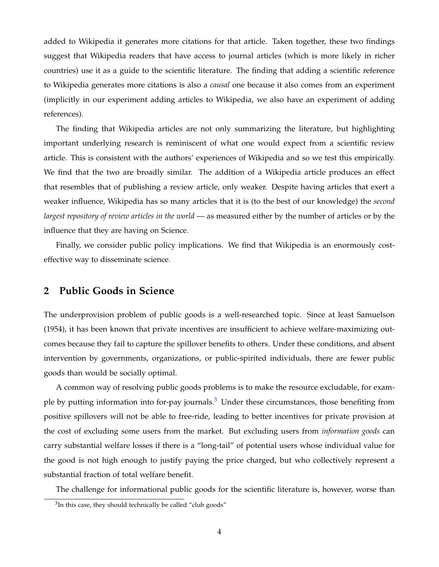added to Wikipedia it generates more citations for that article. Taken together, these two findings suggest that Wikipedia readers that have access to journal articles (which is more likely in richer countries) use it as a guide to the scientific literature. The finding that adding a scientific reference to Wikipedia generates more citations is also a *causal* one because it also comes from an experiment (implicitly in our experiment adding articles to Wikipedia, we also have an experiment of adding references).

The finding that Wikipedia articles are not only summarizing the literature, but highlighting important underlying research is reminiscent of what one would expect from a scientific review article. This is consistent with the authors' experiences of Wikipedia and so we test this empirically. We find that the two are broadly similar. The addition of a Wikipedia article produces an effect that resembles that of publishing a review article, only weaker. Despite having articles that exert a weaker influence, Wikipedia has so many articles that it is (to the best of our knowledge) the *second largest repository of review articles in the world* — as measured either by the number of articles or by the influence that they are having on Science.

Finally, we consider public policy implications. We find that Wikipedia is an enormously costeffective way to disseminate science.

### **2 Public Goods in Science**

The underprovision problem of public goods is a well-researched topic. Since at least Samuelson (1954), it has been known that private incentives are insufficient to achieve welfare-maximizing outcomes because they fail to capture the spillover benefits to others. Under these conditions, and absent intervention by governments, organizations, or public-spirited individuals, there are fewer public goods than would be socially optimal.

A common way of resolving public goods problems is to make the resource excludable, for example by putting information into for-pay journals.[3](#page-4-0) Under these circumstances, those benefiting from positive spillovers will not be able to free-ride, leading to better incentives for private provision at the cost of excluding some users from the market. But excluding users from *information goods* can carry substantial welfare losses if there is a "long-tail" of potential users whose individual value for the good is not high enough to justify paying the price charged, but who collectively represent a substantial fraction of total welfare benefit.

The challenge for informational public goods for the scientific literature is, however, worse than

<span id="page-4-0"></span> $3$ In this case, they should technically be called "club goods"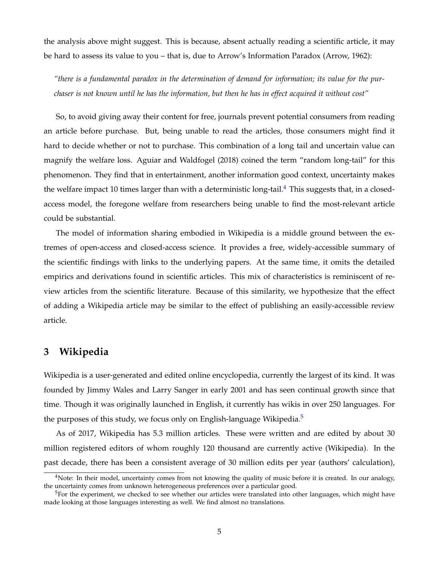the analysis above might suggest. This is because, absent actually reading a scientific article, it may be hard to assess its value to you – that is, due to Arrow's Information Paradox (Arrow, 1962):

*"there is a fundamental paradox in the determination of demand for information; its value for the purchaser is not known until he has the information, but then he has in effect acquired it without cost"*

So, to avoid giving away their content for free, journals prevent potential consumers from reading an article before purchase. But, being unable to read the articles, those consumers might find it hard to decide whether or not to purchase. This combination of a long tail and uncertain value can magnify the welfare loss. Aguiar and Waldfogel (2018) coined the term "random long-tail" for this phenomenon. They find that in entertainment, another information good context, uncertainty makes the welfare impact 10 times larger than with a deterministic long-tail.<sup>[4](#page-5-0)</sup> This suggests that, in a closedaccess model, the foregone welfare from researchers being unable to find the most-relevant article could be substantial.

The model of information sharing embodied in Wikipedia is a middle ground between the extremes of open-access and closed-access science. It provides a free, widely-accessible summary of the scientific findings with links to the underlying papers. At the same time, it omits the detailed empirics and derivations found in scientific articles. This mix of characteristics is reminiscent of review articles from the scientific literature. Because of this similarity, we hypothesize that the effect of adding a Wikipedia article may be similar to the effect of publishing an easily-accessible review article.

### **3 Wikipedia**

Wikipedia is a user-generated and edited online encyclopedia, currently the largest of its kind. It was founded by Jimmy Wales and Larry Sanger in early 2001 and has seen continual growth since that time. Though it was originally launched in English, it currently has wikis in over 250 languages. For the purposes of this study, we focus only on English-language Wikipedia.<sup>[5](#page-5-1)</sup>

As of 2017, Wikipedia has 5.3 million articles. These were written and are edited by about 30 million registered editors of whom roughly 120 thousand are currently active (Wikipedia). In the past decade, there has been a consistent average of 30 million edits per year (authors' calculation),

<span id="page-5-0"></span><sup>&</sup>lt;sup>4</sup>Note: In their model, uncertainty comes from not knowing the quality of music before it is created. In our analogy, the uncertainty comes from unknown heterogeneous preferences over a particular good.

<span id="page-5-1"></span> $5$ For the experiment, we checked to see whether our articles were translated into other languages, which might have made looking at those languages interesting as well. We find almost no translations.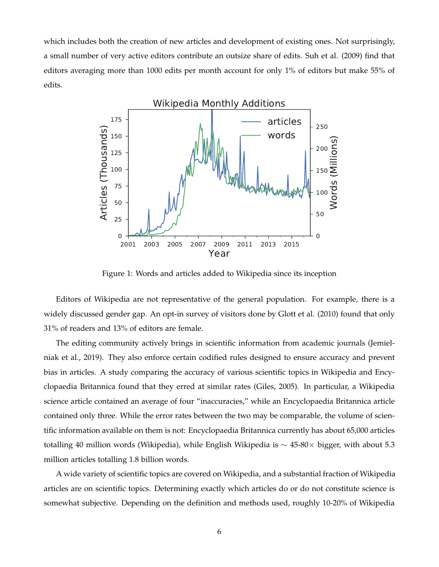which includes both the creation of new articles and development of existing ones. Not surprisingly, a small number of very active editors contribute an outsize share of edits. Suh et al. (2009) find that editors averaging more than 1000 edits per month account for only 1% of editors but make 55% of edits.



Figure 1: Words and articles added to Wikipedia since its inception

Editors of Wikipedia are not representative of the general population. For example, there is a widely discussed gender gap. An opt-in survey of visitors done by Glott et al. (2010) found that only 31% of readers and 13% of editors are female.

The editing community actively brings in scientific information from academic journals (Jemielniak et al., 2019). They also enforce certain codified rules designed to ensure accuracy and prevent bias in articles. A study comparing the accuracy of various scientific topics in Wikipedia and Encyclopaedia Britannica found that they erred at similar rates (Giles, 2005). In particular, a Wikipedia science article contained an average of four "inaccuracies," while an Encyclopaedia Britannica article contained only three. While the error rates between the two may be comparable, the volume of scientific information available on them is not: Encyclopaedia Britannica currently has about 65,000 articles totalling 40 million words (Wikipedia), while English Wikipedia is ∼ 45-80× bigger, with about 5.3 million articles totalling 1.8 billion words.

A wide variety of scientific topics are covered on Wikipedia, and a substantial fraction of Wikipedia articles are on scientific topics. Determining exactly which articles do or do not constitute science is somewhat subjective. Depending on the definition and methods used, roughly 10-20% of Wikipedia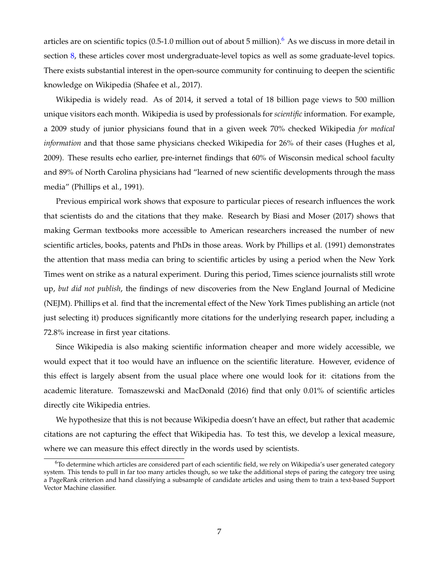articles are on scientific topics (0.5-1.0 million out of about 5 million).<sup>[6](#page-7-0)</sup> As we discuss in more detail in section [8,](#page-26-0) these articles cover most undergraduate-level topics as well as some graduate-level topics. There exists substantial interest in the open-source community for continuing to deepen the scientific knowledge on Wikipedia (Shafee et al., 2017).

Wikipedia is widely read. As of 2014, it served a total of 18 billion page views to 500 million unique visitors each month. Wikipedia is used by professionals for *scientific* information. For example, a 2009 study of junior physicians found that in a given week 70% checked Wikipedia *for medical information* and that those same physicians checked Wikipedia for 26% of their cases (Hughes et al, 2009). These results echo earlier, pre-internet findings that 60% of Wisconsin medical school faculty and 89% of North Carolina physicians had "learned of new scientific developments through the mass media" (Phillips et al., 1991).

Previous empirical work shows that exposure to particular pieces of research influences the work that scientists do and the citations that they make. Research by Biasi and Moser (2017) shows that making German textbooks more accessible to American researchers increased the number of new scientific articles, books, patents and PhDs in those areas. Work by Phillips et al. (1991) demonstrates the attention that mass media can bring to scientific articles by using a period when the New York Times went on strike as a natural experiment. During this period, Times science journalists still wrote up, *but did not publish*, the findings of new discoveries from the New England Journal of Medicine (NEJM). Phillips et al. find that the incremental effect of the New York Times publishing an article (not just selecting it) produces significantly more citations for the underlying research paper, including a 72.8% increase in first year citations.

Since Wikipedia is also making scientific information cheaper and more widely accessible, we would expect that it too would have an influence on the scientific literature. However, evidence of this effect is largely absent from the usual place where one would look for it: citations from the academic literature. Tomaszewski and MacDonald (2016) find that only 0.01% of scientific articles directly cite Wikipedia entries.

We hypothesize that this is not because Wikipedia doesn't have an effect, but rather that academic citations are not capturing the effect that Wikipedia has. To test this, we develop a lexical measure, where we can measure this effect directly in the words used by scientists.

<span id="page-7-0"></span> $6$ To determine which articles are considered part of each scientific field, we rely on Wikipedia's user generated category system. This tends to pull in far too many articles though, so we take the additional steps of paring the category tree using a PageRank criterion and hand classifying a subsample of candidate articles and using them to train a text-based Support Vector Machine classifier.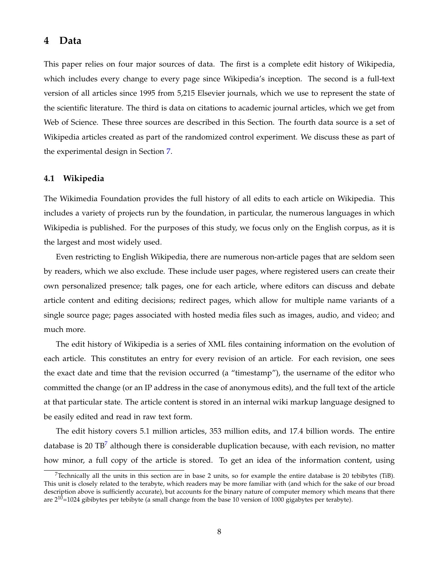### **4 Data**

This paper relies on four major sources of data. The first is a complete edit history of Wikipedia, which includes every change to every page since Wikipedia's inception. The second is a full-text version of all articles since 1995 from 5,215 Elsevier journals, which we use to represent the state of the scientific literature. The third is data on citations to academic journal articles, which we get from Web of Science. These three sources are described in this Section. The fourth data source is a set of Wikipedia articles created as part of the randomized control experiment. We discuss these as part of the experimental design in Section [7.](#page-22-0)

### **4.1 Wikipedia**

The Wikimedia Foundation provides the full history of all edits to each article on Wikipedia. This includes a variety of projects run by the foundation, in particular, the numerous languages in which Wikipedia is published. For the purposes of this study, we focus only on the English corpus, as it is the largest and most widely used.

Even restricting to English Wikipedia, there are numerous non-article pages that are seldom seen by readers, which we also exclude. These include user pages, where registered users can create their own personalized presence; talk pages, one for each article, where editors can discuss and debate article content and editing decisions; redirect pages, which allow for multiple name variants of a single source page; pages associated with hosted media files such as images, audio, and video; and much more.

The edit history of Wikipedia is a series of XML files containing information on the evolution of each article. This constitutes an entry for every revision of an article. For each revision, one sees the exact date and time that the revision occurred (a "timestamp"), the username of the editor who committed the change (or an IP address in the case of anonymous edits), and the full text of the article at that particular state. The article content is stored in an internal wiki markup language designed to be easily edited and read in raw text form.

The edit history covers 5.1 million articles, 353 million edits, and 17.4 billion words. The entire database is 20 TB<sup> $\prime$ </sup> although there is considerable duplication because, with each revision, no matter how minor, a full copy of the article is stored. To get an idea of the information content, using

<span id="page-8-0"></span> $7$ Technically all the units in this section are in base 2 units, so for example the entire database is 20 tebibytes (TiB). This unit is closely related to the terabyte, which readers may be more familiar with (and which for the sake of our broad description above is sufficiently accurate), but accounts for the binary nature of computer memory which means that there are  $2^{10}$ =1024 gibibytes per tebibyte (a small change from the base 10 version of 1000 gigabytes per terabyte).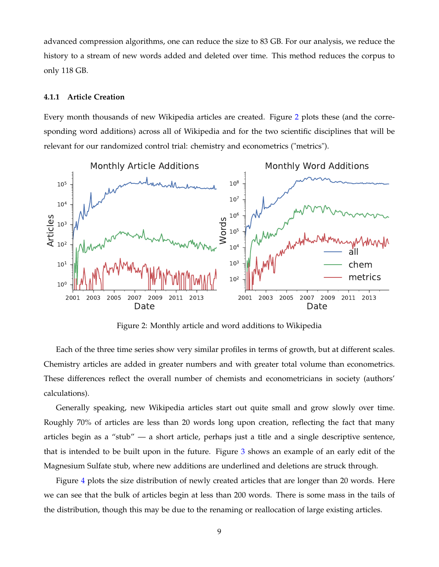advanced compression algorithms, one can reduce the size to 83 GB. For our analysis, we reduce the history to a stream of new words added and deleted over time. This method reduces the corpus to only 118 GB.

### <span id="page-9-1"></span>**4.1.1 Article Creation**

Every month thousands of new Wikipedia articles are created. Figure [2](#page-9-0) plots these (and the corresponding word additions) across all of Wikipedia and for the two scientific disciplines that will be relevant for our randomized control trial: chemistry and econometrics ("metrics").

<span id="page-9-0"></span>

Figure 2: Monthly article and word additions to Wikipedia

Each of the three time series show very similar profiles in terms of growth, but at different scales. Chemistry articles are added in greater numbers and with greater total volume than econometrics. These differences reflect the overall number of chemists and econometricians in society (authors' calculations).

Generally speaking, new Wikipedia articles start out quite small and grow slowly over time. Roughly 70% of articles are less than 20 words long upon creation, reflecting the fact that many articles begin as a "stub" — a short article, perhaps just a title and a single descriptive sentence, that is intended to be built upon in the future. Figure [3](#page-10-0) shows an example of an early edit of the Magnesium Sulfate stub, where new additions are underlined and deletions are struck through.

Figure [4](#page-10-1) plots the size distribution of newly created articles that are longer than 20 words. Here we can see that the bulk of articles begin at less than 200 words. There is some mass in the tails of the distribution, though this may be due to the renaming or reallocation of large existing articles.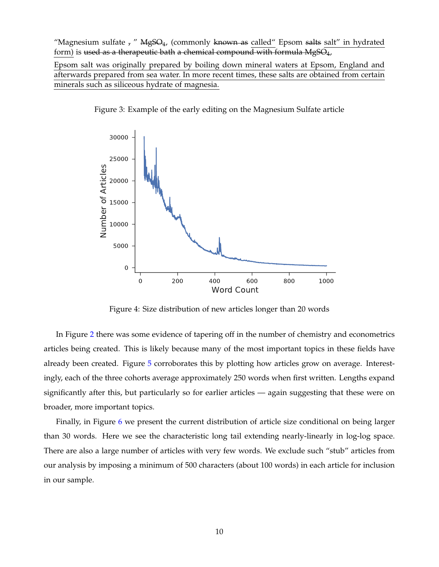<span id="page-10-0"></span>"Magnesium sulfate  $_7$ " MgSO<sub>4</sub>, (commonly known as called" Epsom salts salt" in hydrated form) is used as a therapeutic bath a chemical compound with formula  $MgSO_4$ ,

Epsom salt was originally prepared by boiling down mineral waters at Epsom, England and afterwards prepared from sea water. In more recent times, these salts are obtained from certain minerals such as siliceous hydrate of magnesia.

<span id="page-10-1"></span>



Figure 4: Size distribution of new articles longer than 20 words

In Figure [2](#page-9-0) there was some evidence of tapering off in the number of chemistry and econometrics articles being created. This is likely because many of the most important topics in these fields have already been created. Figure [5](#page-11-0) corroborates this by plotting how articles grow on average. Interestingly, each of the three cohorts average approximately 250 words when first written. Lengths expand significantly after this, but particularly so for earlier articles — again suggesting that these were on broader, more important topics.

Finally, in Figure [6](#page-11-1) we present the current distribution of article size conditional on being larger than 30 words. Here we see the characteristic long tail extending nearly-linearly in log-log space. There are also a large number of articles with very few words. We exclude such "stub" articles from our analysis by imposing a minimum of 500 characters (about 100 words) in each article for inclusion in our sample.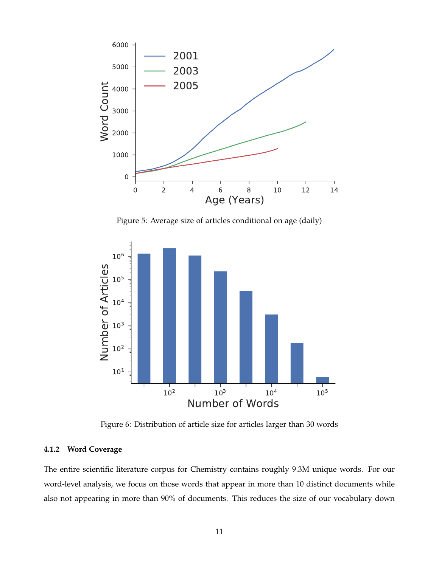<span id="page-11-0"></span>

Figure 5: Average size of articles conditional on age (daily)

<span id="page-11-1"></span>

Figure 6: Distribution of article size for articles larger than 30 words

### **4.1.2 Word Coverage**

The entire scientific literature corpus for Chemistry contains roughly 9.3M unique words. For our word-level analysis, we focus on those words that appear in more than 10 distinct documents while also not appearing in more than 90% of documents. This reduces the size of our vocabulary down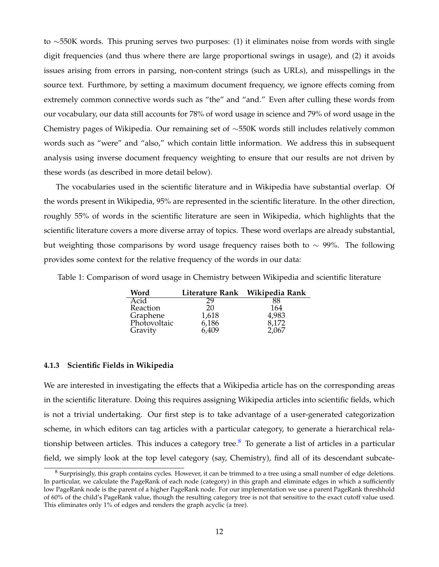to ∼550K words. This pruning serves two purposes: (1) it eliminates noise from words with single digit frequencies (and thus where there are large proportional swings in usage), and (2) it avoids issues arising from errors in parsing, non-content strings (such as URLs), and misspellings in the source text. Furthmore, by setting a maximum document frequency, we ignore effects coming from extremely common connective words such as "the" and "and." Even after culling these words from our vocabulary, our data still accounts for 78% of word usage in science and 79% of word usage in the Chemistry pages of Wikipedia. Our remaining set of ∼550K words still includes relatively common words such as "were" and "also," which contain little information. We address this in subsequent analysis using inverse document frequency weighting to ensure that our results are not driven by these words (as described in more detail below).

The vocabularies used in the scientific literature and in Wikipedia have substantial overlap. Of the words present in Wikipedia, 95% are represented in the scientific literature. In the other direction, roughly 55% of words in the scientific literature are seen in Wikipedia, which highlights that the scientific literature covers a more diverse array of topics. These word overlaps are already substantial, but weighting those comparisons by word usage frequency raises both to ∼ 99%. The following provides some context for the relative frequency of the words in our data:

Table 1: Comparison of word usage in Chemistry between Wikipedia and scientific literature

| Word         |       | Literature Rank Wikipedia Rank |
|--------------|-------|--------------------------------|
| Acid         | 29    | 88                             |
| Reaction     | 20    | 164                            |
| Graphene     | 1,618 | 4,983                          |
| Photovoltaic | 6,186 | 8,172                          |
| Gravity      | 6,409 | 2.067                          |

### **4.1.3 Scientific Fields in Wikipedia**

We are interested in investigating the effects that a Wikipedia article has on the corresponding areas in the scientific literature. Doing this requires assigning Wikipedia articles into scientific fields, which is not a trivial undertaking. Our first step is to take advantage of a user-generated categorization scheme, in which editors can tag articles with a particular category, to generate a hierarchical rela-tionship between articles. This induces a category tree.<sup>[8](#page-12-0)</sup> To generate a list of articles in a particular field, we simply look at the top level category (say, Chemistry), find all of its descendant subcate-

<span id="page-12-0"></span><sup>8</sup> Surprisingly, this graph contains cycles. However, it can be trimmed to a tree using a small number of edge deletions. In particular, we calculate the PageRank of each node (category) in this graph and eliminate edges in which a sufficiently low PageRank node is the parent of a higher PageRank node. For our implementation we use a parent PageRank threshhold of 60% of the child's PageRank value, though the resulting category tree is not that sensitive to the exact cutoff value used. This eliminates only 1% of edges and renders the graph acyclic (a tree).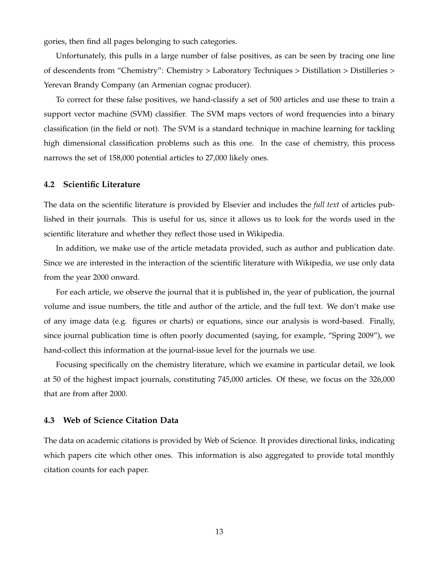gories, then find all pages belonging to such categories.

Unfortunately, this pulls in a large number of false positives, as can be seen by tracing one line of descendents from "Chemistry": Chemistry > Laboratory Techniques > Distillation > Distilleries > Yerevan Brandy Company (an Armenian cognac producer).

To correct for these false positives, we hand-classify a set of 500 articles and use these to train a support vector machine (SVM) classifier. The SVM maps vectors of word frequencies into a binary classification (in the field or not). The SVM is a standard technique in machine learning for tackling high dimensional classification problems such as this one. In the case of chemistry, this process narrows the set of 158,000 potential articles to 27,000 likely ones.

### **4.2 Scientific Literature**

The data on the scientific literature is provided by Elsevier and includes the *full text* of articles published in their journals. This is useful for us, since it allows us to look for the words used in the scientific literature and whether they reflect those used in Wikipedia.

In addition, we make use of the article metadata provided, such as author and publication date. Since we are interested in the interaction of the scientific literature with Wikipedia, we use only data from the year 2000 onward.

For each article, we observe the journal that it is published in, the year of publication, the journal volume and issue numbers, the title and author of the article, and the full text. We don't make use of any image data (e.g. figures or charts) or equations, since our analysis is word-based. Finally, since journal publication time is often poorly documented (saying, for example, "Spring 2009"), we hand-collect this information at the journal-issue level for the journals we use.

Focusing specifically on the chemistry literature, which we examine in particular detail, we look at 50 of the highest impact journals, constituting 745,000 articles. Of these, we focus on the 326,000 that are from after 2000.

#### **4.3 Web of Science Citation Data**

The data on academic citations is provided by Web of Science. It provides directional links, indicating which papers cite which other ones. This information is also aggregated to provide total monthly citation counts for each paper.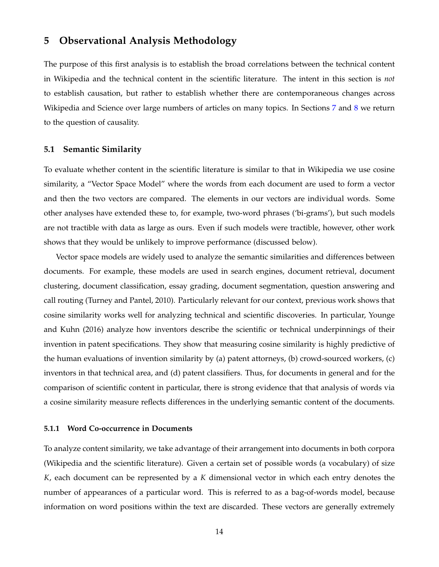### **5 Observational Analysis Methodology**

The purpose of this first analysis is to establish the broad correlations between the technical content in Wikipedia and the technical content in the scientific literature. The intent in this section is *not* to establish causation, but rather to establish whether there are contemporaneous changes across Wikipedia and Science over large numbers of articles on many topics. In Sections [7](#page-22-0) and [8](#page-26-0) we return to the question of causality.

### **5.1 Semantic Similarity**

To evaluate whether content in the scientific literature is similar to that in Wikipedia we use cosine similarity, a "Vector Space Model" where the words from each document are used to form a vector and then the two vectors are compared. The elements in our vectors are individual words. Some other analyses have extended these to, for example, two-word phrases ('bi-grams'), but such models are not tractible with data as large as ours. Even if such models were tractible, however, other work shows that they would be unlikely to improve performance (discussed below).

Vector space models are widely used to analyze the semantic similarities and differences between documents. For example, these models are used in search engines, document retrieval, document clustering, document classification, essay grading, document segmentation, question answering and call routing (Turney and Pantel, 2010). Particularly relevant for our context, previous work shows that cosine similarity works well for analyzing technical and scientific discoveries. In particular, Younge and Kuhn (2016) analyze how inventors describe the scientific or technical underpinnings of their invention in patent specifications. They show that measuring cosine similarity is highly predictive of the human evaluations of invention similarity by (a) patent attorneys, (b) crowd-sourced workers, (c) inventors in that technical area, and (d) patent classifiers. Thus, for documents in general and for the comparison of scientific content in particular, there is strong evidence that that analysis of words via a cosine similarity measure reflects differences in the underlying semantic content of the documents.

#### **5.1.1 Word Co-occurrence in Documents**

To analyze content similarity, we take advantage of their arrangement into documents in both corpora (Wikipedia and the scientific literature). Given a certain set of possible words (a vocabulary) of size *K*, each document can be represented by a *K* dimensional vector in which each entry denotes the number of appearances of a particular word. This is referred to as a bag-of-words model, because information on word positions within the text are discarded. These vectors are generally extremely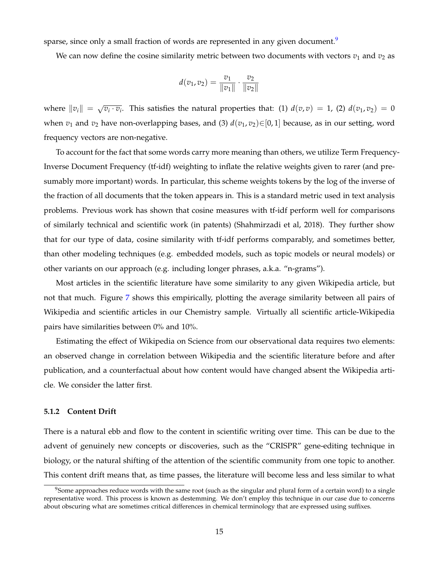sparse, since only a small fraction of words are represented in any given document.<sup>[9](#page-15-0)</sup>

We can now define the cosine similarity metric between two documents with vectors  $v_1$  and  $v_2$  as

$$
d(v_1, v_2) = \frac{v_1}{\|v_1\|} \cdot \frac{v_2}{\|v_2\|}
$$

where  $\|v_i\| = \sqrt{2}$  $\overline{v_i \cdot v_i}$ . This satisfies the natural properties that: (1)  $d(v,v) = 1$ , (2)  $d(v_1,v_2) = 0$ when  $v_1$  and  $v_2$  have non-overlapping bases, and (3)  $d(v_1, v_2) \in [0, 1]$  because, as in our setting, word frequency vectors are non-negative.

To account for the fact that some words carry more meaning than others, we utilize Term Frequency-Inverse Document Frequency (tf-idf) weighting to inflate the relative weights given to rarer (and presumably more important) words. In particular, this scheme weights tokens by the log of the inverse of the fraction of all documents that the token appears in. This is a standard metric used in text analysis problems. Previous work has shown that cosine measures with tf-idf perform well for comparisons of similarly technical and scientific work (in patents) (Shahmirzadi et al, 2018). They further show that for our type of data, cosine similarity with tf-idf performs comparably, and sometimes better, than other modeling techniques (e.g. embedded models, such as topic models or neural models) or other variants on our approach (e.g. including longer phrases, a.k.a. "n-grams").

Most articles in the scientific literature have some similarity to any given Wikipedia article, but not that much. Figure [7](#page-16-0) shows this empirically, plotting the average similarity between all pairs of Wikipedia and scientific articles in our Chemistry sample. Virtually all scientific article-Wikipedia pairs have similarities between 0% and 10%.

Estimating the effect of Wikipedia on Science from our observational data requires two elements: an observed change in correlation between Wikipedia and the scientific literature before and after publication, and a counterfactual about how content would have changed absent the Wikipedia article. We consider the latter first.

#### **5.1.2 Content Drift**

There is a natural ebb and flow to the content in scientific writing over time. This can be due to the advent of genuinely new concepts or discoveries, such as the "CRISPR" gene-editing technique in biology, or the natural shifting of the attention of the scientific community from one topic to another. This content drift means that, as time passes, the literature will become less and less similar to what

<span id="page-15-0"></span> $9$ Some approaches reduce words with the same root (such as the singular and plural form of a certain word) to a single representative word. This process is known as destemming. We don't employ this technique in our case due to concerns about obscuring what are sometimes critical differences in chemical terminology that are expressed using suffixes.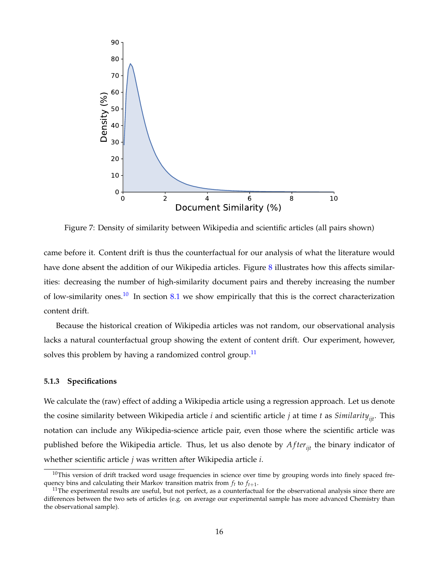<span id="page-16-0"></span>

Figure 7: Density of similarity between Wikipedia and scientific articles (all pairs shown)

came before it. Content drift is thus the counterfactual for our analysis of what the literature would have done absent the addition of our Wikipedia articles. Figure [8](#page-17-0) illustrates how this affects similarities: decreasing the number of high-similarity document pairs and thereby increasing the number of low-similarity ones.<sup>[10](#page-16-1)</sup> In section [8.1](#page-26-1) we show empirically that this is the correct characterization content drift.

Because the historical creation of Wikipedia articles was not random, our observational analysis lacks a natural counterfactual group showing the extent of content drift. Our experiment, however, solves this problem by having a randomized control group.<sup>[11](#page-16-2)</sup>

### <span id="page-16-3"></span>**5.1.3 Specifications**

We calculate the (raw) effect of adding a Wikipedia article using a regression approach. Let us denote the cosine similarity between Wikipedia article *i* and scientific article *j* at time *t* as *Similarityijt*. This notation can include any Wikipedia-science article pair, even those where the scientific article was published before the Wikipedia article. Thus, let us also denote by *After<sub>iit</sub>* the binary indicator of whether scientific article *j* was written after Wikipedia article *i*.

<span id="page-16-1"></span> $10$ This version of drift tracked word usage frequencies in science over time by grouping words into finely spaced frequency bins and calculating their Markov transition matrix from *f<sup>t</sup>* to *ft*+<sup>1</sup> .

<span id="page-16-2"></span> $11$ The experimental results are useful, but not perfect, as a counterfactual for the observational analysis since there are differences between the two sets of articles (e.g. on average our experimental sample has more advanced Chemistry than the observational sample).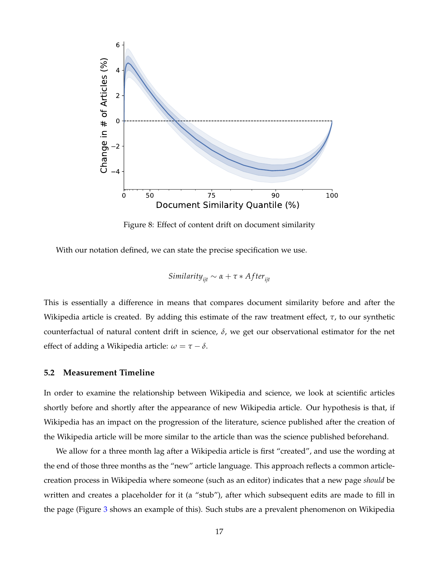<span id="page-17-0"></span>

Figure 8: Effect of content drift on document similarity

With our notation defined, we can state the precise specification we use.

Similarly, 
$$
\alpha + \tau * After_{ijt}
$$

This is essentially a difference in means that compares document similarity before and after the Wikipedia article is created. By adding this estimate of the raw treatment effect, *τ*, to our synthetic counterfactual of natural content drift in science,  $\delta$ , we get our observational estimator for the net effect of adding a Wikipedia article:  $\omega = \tau - \delta$ .

#### **5.2 Measurement Timeline**

In order to examine the relationship between Wikipedia and science, we look at scientific articles shortly before and shortly after the appearance of new Wikipedia article. Our hypothesis is that, if Wikipedia has an impact on the progression of the literature, science published after the creation of the Wikipedia article will be more similar to the article than was the science published beforehand.

We allow for a three month lag after a Wikipedia article is first "created", and use the wording at the end of those three months as the "new" article language. This approach reflects a common articlecreation process in Wikipedia where someone (such as an editor) indicates that a new page *should* be written and creates a placeholder for it (a "stub"), after which subsequent edits are made to fill in the page (Figure [3](#page-10-0) shows an example of this). Such stubs are a prevalent phenomenon on Wikipedia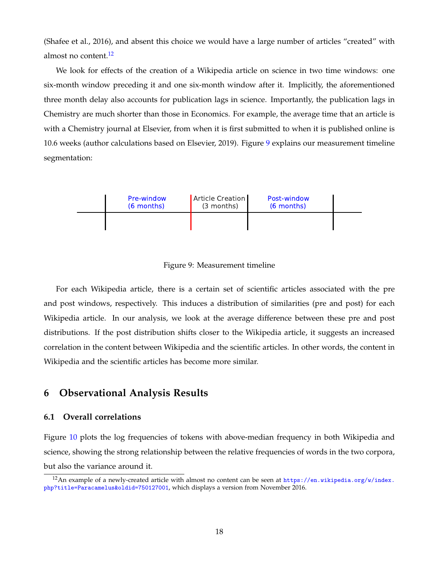(Shafee et al., 2016), and absent this choice we would have a large number of articles "created" with almost no content.<sup>[12](#page-18-0)</sup>

We look for effects of the creation of a Wikipedia article on science in two time windows: one six-month window preceding it and one six-month window after it. Implicitly, the aforementioned three month delay also accounts for publication lags in science. Importantly, the publication lags in Chemistry are much shorter than those in Economics. For example, the average time that an article is with a Chemistry journal at Elsevier, from when it is first submitted to when it is published online is 10.6 weeks (author calculations based on Elsevier, 2019). Figure [9](#page-18-1) explains our measurement timeline segmentation:

<span id="page-18-1"></span>

Figure 9: Measurement timeline

For each Wikipedia article, there is a certain set of scientific articles associated with the pre and post windows, respectively. This induces a distribution of similarities (pre and post) for each Wikipedia article. In our analysis, we look at the average difference between these pre and post distributions. If the post distribution shifts closer to the Wikipedia article, it suggests an increased correlation in the content between Wikipedia and the scientific articles. In other words, the content in Wikipedia and the scientific articles has become more similar.

### **6 Observational Analysis Results**

### **6.1 Overall correlations**

Figure [10](#page-19-0) plots the log frequencies of tokens with above-median frequency in both Wikipedia and science, showing the strong relationship between the relative frequencies of words in the two corpora, but also the variance around it.

<span id="page-18-0"></span><sup>&</sup>lt;sup>12</sup>An example of a newly-created article with almost no content can be seen at  $https://en.wikipedia.org/w/index.$ [php?title=Paracamelus&oldid=750127001](https://en.wikipedia.org/w/index.php?title=Paracamelus&oldid=750127001), which displays a version from November 2016.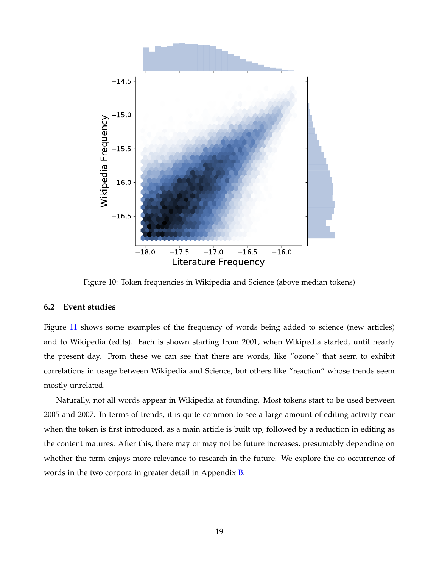<span id="page-19-0"></span>

Figure 10: Token frequencies in Wikipedia and Science (above median tokens)

### **6.2 Event studies**

Figure [11](#page-20-0) shows some examples of the frequency of words being added to science (new articles) and to Wikipedia (edits). Each is shown starting from 2001, when Wikipedia started, until nearly the present day. From these we can see that there are words, like "ozone" that seem to exhibit correlations in usage between Wikipedia and Science, but others like "reaction" whose trends seem mostly unrelated.

Naturally, not all words appear in Wikipedia at founding. Most tokens start to be used between 2005 and 2007. In terms of trends, it is quite common to see a large amount of editing activity near when the token is first introduced, as a main article is built up, followed by a reduction in editing as the content matures. After this, there may or may not be future increases, presumably depending on whether the term enjoys more relevance to research in the future. We explore the co-occurrence of words in the two corpora in greater detail in Appendix [B.](#page-45-0)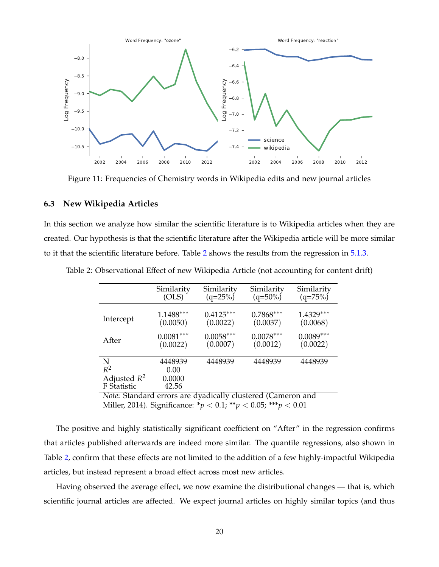<span id="page-20-0"></span>

Figure 11: Frequencies of Chemistry words in Wikipedia edits and new journal articles

### **6.3 New Wikipedia Articles**

In this section we analyze how similar the scientific literature is to Wikipedia articles when they are created. Our hypothesis is that the scientific literature after the Wikipedia article will be more similar to it that the scientific literature before. Table [2](#page-20-1) shows the results from the regression in [5.1.3.](#page-16-3)

|                                             | Similarity                         | Similarity  | Similarity  | Similarity  |
|---------------------------------------------|------------------------------------|-------------|-------------|-------------|
|                                             | (OLS)                              | $(q=25\%)$  | $(q=50\%)$  | $(q=75%)$   |
| Intercept                                   | $1.1488***$                        | $0.4125***$ | $0.7868***$ | $1.4329***$ |
|                                             | (0.0050)                           | (0.0022)    | (0.0037)    | (0.0068)    |
| After                                       | $0.0081***$                        | $0.0058***$ | $0.0078***$ | $0.0089***$ |
|                                             | (0.0022)                           | (0.0007)    | (0.0012)    | (0.0022)    |
| N<br>$R^2$<br>Adjusted $R^2$<br>F Statistic | 4448939<br>0.00<br>0.0000<br>42.56 | 4448939     | 4448939     | 4448939     |

<span id="page-20-1"></span>Table 2: Observational Effect of new Wikipedia Article (not accounting for content drift)

*Note*: Standard errors are dyadically clustered (Cameron and Miller, 2014). Significance: \**p* < 0.1; \*\**p* < 0.05; \*\*\**p* < 0.01

The positive and highly statistically significant coefficient on "After" in the regression confirms that articles published afterwards are indeed more similar. The quantile regressions, also shown in Table [2,](#page-20-1) confirm that these effects are not limited to the addition of a few highly-impactful Wikipedia articles, but instead represent a broad effect across most new articles.

Having observed the average effect, we now examine the distributional changes — that is, which scientific journal articles are affected. We expect journal articles on highly similar topics (and thus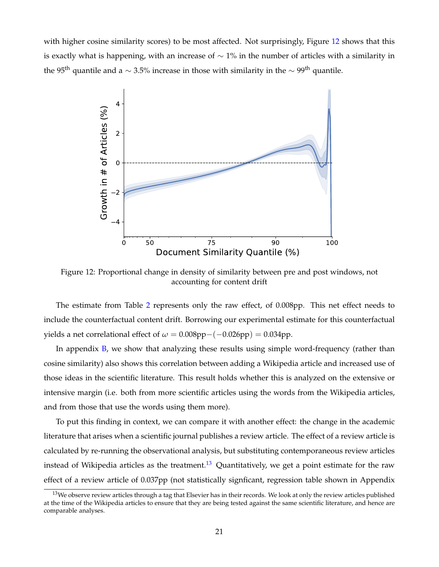<span id="page-21-0"></span>with higher cosine similarity scores) to be most affected. Not surprisingly, Figure [12](#page-21-0) shows that this is exactly what is happening, with an increase of  $\sim$  1% in the number of articles with a similarity in the 95<sup>th</sup> quantile and a  $\sim$  3.5% increase in those with similarity in the  $\sim$  99<sup>th</sup> quantile.



Figure 12: Proportional change in density of similarity between pre and post windows, not accounting for content drift

The estimate from Table [2](#page-20-1) represents only the raw effect, of 0.008pp. This net effect needs to include the counterfactual content drift. Borrowing our experimental estimate for this counterfactual yields a net correlational effect of  $\omega = 0.008pp-(-0.026pp) = 0.034pp$ .

In appendix [B,](#page-45-0) we show that analyzing these results using simple word-frequency (rather than cosine similarity) also shows this correlation between adding a Wikipedia article and increased use of those ideas in the scientific literature. This result holds whether this is analyzed on the extensive or intensive margin (i.e. both from more scientific articles using the words from the Wikipedia articles, and from those that use the words using them more).

To put this finding in context, we can compare it with another effect: the change in the academic literature that arises when a scientific journal publishes a review article. The effect of a review article is calculated by re-running the observational analysis, but substituting contemporaneous review articles instead of Wikipedia articles as the treatment.<sup>[13](#page-21-1)</sup> Quantitatively, we get a point estimate for the raw effect of a review article of 0.037pp (not statistically signficant, regression table shown in Appendix

<span id="page-21-1"></span><sup>&</sup>lt;sup>13</sup>We observe review articles through a tag that Elsevier has in their records. We look at only the review articles published at the time of the Wikipedia articles to ensure that they are being tested against the same scientific literature, and hence are comparable analyses.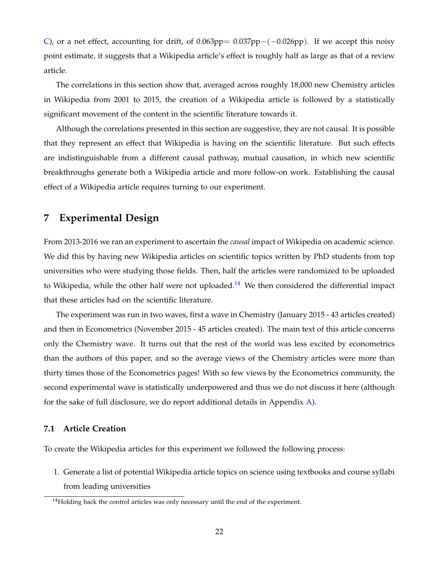[C\)](#page-49-0), or a net effect, accounting for drift, of 0.063pp=  $0.037pp-(-0.026pp)$ . If we accept this noisy point estimate, it suggests that a Wikipedia article's effect is roughly half as large as that of a review article.

The correlations in this section show that, averaged across roughly 18,000 new Chemistry articles in Wikipedia from 2001 to 2015, the creation of a Wikipedia article is followed by a statistically significant movement of the content in the scientific literature towards it.

Although the correlations presented in this section are suggestive, they are not causal. It is possible that they represent an effect that Wikipedia is having on the scientific literature. But such effects are indistinguishable from a different causal pathway, mutual causation, in which new scientific breakthroughs generate both a Wikipedia article and more follow-on work. Establishing the causal effect of a Wikipedia article requires turning to our experiment.

### <span id="page-22-0"></span>**7 Experimental Design**

From 2013-2016 we ran an experiment to ascertain the *causal* impact of Wikipedia on academic science. We did this by having new Wikipedia articles on scientific topics written by PhD students from top universities who were studying those fields. Then, half the articles were randomized to be uploaded to Wikipedia, while the other half were not uploaded.<sup>[14](#page-22-1)</sup> We then considered the differential impact that these articles had on the scientific literature.

The experiment was run in two waves, first a wave in Chemistry (January 2015 - 43 articles created) and then in Econometrics (November 2015 - 45 articles created). The main text of this article concerns only the Chemistry wave. It turns out that the rest of the world was less excited by econometrics than the authors of this paper, and so the average views of the Chemistry articles were more than thirty times those of the Econometrics pages! With so few views by the Econometrics community, the second experimental wave is statistically underpowered and thus we do not discuss it here (although for the sake of full disclosure, we do report additional details in Appendix [A\)](#page-43-0).

### **7.1 Article Creation**

To create the Wikipedia articles for this experiment we followed the following process:

1. Generate a list of potential Wikipedia article topics on science using textbooks and course syllabi from leading universities

<span id="page-22-1"></span><sup>&</sup>lt;sup>14</sup>Holding back the control articles was only necessary until the end of the experiment.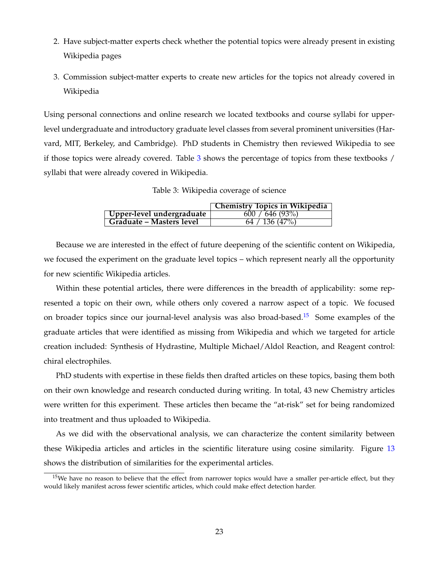- 2. Have subject-matter experts check whether the potential topics were already present in existing Wikipedia pages
- 3. Commission subject-matter experts to create new articles for the topics not already covered in Wikipedia

Using personal connections and online research we located textbooks and course syllabi for upperlevel undergraduate and introductory graduate level classes from several prominent universities (Harvard, MIT, Berkeley, and Cambridge). PhD students in Chemistry then reviewed Wikipedia to see if those topics were already covered. Table  $3$  shows the percentage of topics from these textbooks  $/$ syllabi that were already covered in Wikipedia.

Table 3: Wikipedia coverage of science

|                           | Chemistry Topics in Wikipedia |
|---------------------------|-------------------------------|
| Upper-level undergraduate | 600 / 646 (93%)               |
| Graduate – Masters level  | 64 / 136 (47%)                |

<span id="page-23-0"></span>Because we are interested in the effect of future deepening of the scientific content on Wikipedia, we focused the experiment on the graduate level topics – which represent nearly all the opportunity for new scientific Wikipedia articles.

Within these potential articles, there were differences in the breadth of applicability: some represented a topic on their own, while others only covered a narrow aspect of a topic. We focused on broader topics since our journal-level analysis was also broad-based.<sup>[15](#page-23-1)</sup> Some examples of the graduate articles that were identified as missing from Wikipedia and which we targeted for article creation included: Synthesis of Hydrastine, Multiple Michael/Aldol Reaction, and Reagent control: chiral electrophiles.

PhD students with expertise in these fields then drafted articles on these topics, basing them both on their own knowledge and research conducted during writing. In total, 43 new Chemistry articles were written for this experiment. These articles then became the "at-risk" set for being randomized into treatment and thus uploaded to Wikipedia.

As we did with the observational analysis, we can characterize the content similarity between these Wikipedia articles and articles in the scientific literature using cosine similarity. Figure [13](#page-24-0) shows the distribution of similarities for the experimental articles.

<span id="page-23-1"></span> $15$ We have no reason to believe that the effect from narrower topics would have a smaller per-article effect, but they would likely manifest across fewer scientific articles, which could make effect detection harder.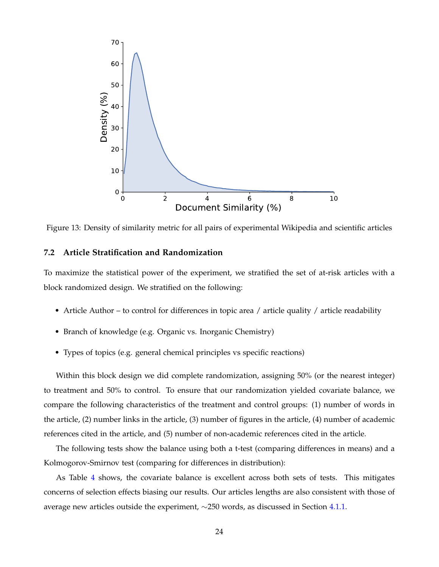<span id="page-24-0"></span>

Figure 13: Density of similarity metric for all pairs of experimental Wikipedia and scientific articles

### **7.2 Article Stratification and Randomization**

To maximize the statistical power of the experiment, we stratified the set of at-risk articles with a block randomized design. We stratified on the following:

- Article Author to control for differences in topic area / article quality / article readability
- Branch of knowledge (e.g. Organic vs. Inorganic Chemistry)
- Types of topics (e.g. general chemical principles vs specific reactions)

Within this block design we did complete randomization, assigning 50% (or the nearest integer) to treatment and 50% to control. To ensure that our randomization yielded covariate balance, we compare the following characteristics of the treatment and control groups: (1) number of words in the article, (2) number links in the article, (3) number of figures in the article, (4) number of academic references cited in the article, and (5) number of non-academic references cited in the article.

The following tests show the balance using both a t-test (comparing differences in means) and a Kolmogorov-Smirnov test (comparing for differences in distribution):

As Table [4](#page-25-0) shows, the covariate balance is excellent across both sets of tests. This mitigates concerns of selection effects biasing our results. Our articles lengths are also consistent with those of average new articles outside the experiment, ∼250 words, as discussed in Section [4.1.1.](#page-9-1)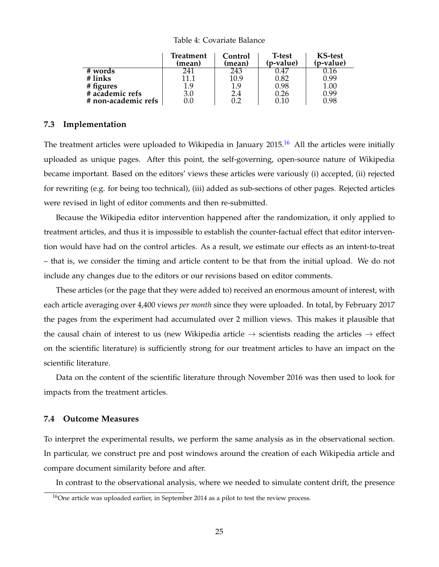#### Table 4: Covariate Balance

<span id="page-25-0"></span>

|                     | <b>Treatment</b><br>(mean) | Control<br>(mean) | T-test<br>(p-value) | <b>KS-test</b><br>(p-value) |
|---------------------|----------------------------|-------------------|---------------------|-----------------------------|
| # words             | 241                        | 243               | 0.47                | 0.16                        |
| # links             | 11.1                       | 10.9              | 0.82                | 0.99                        |
| # figures           | 1.9                        | 1.9               | 0.98                | $1.00\,$                    |
| # academic refs     | 3.0                        | 2.4               | 0.26                | 0.99                        |
| # non-academic refs | 0.0                        | 0.2               | 0.10                | 0.98                        |

#### **7.3 Implementation**

The treatment articles were uploaded to Wikipedia in January  $2015<sup>16</sup>$  $2015<sup>16</sup>$  $2015<sup>16</sup>$  All the articles were initially uploaded as unique pages. After this point, the self-governing, open-source nature of Wikipedia became important. Based on the editors' views these articles were variously (i) accepted, (ii) rejected for rewriting (e.g. for being too technical), (iii) added as sub-sections of other pages. Rejected articles were revised in light of editor comments and then re-submitted.

Because the Wikipedia editor intervention happened after the randomization, it only applied to treatment articles, and thus it is impossible to establish the counter-factual effect that editor intervention would have had on the control articles. As a result, we estimate our effects as an intent-to-treat – that is, we consider the timing and article content to be that from the initial upload. We do not include any changes due to the editors or our revisions based on editor comments.

These articles (or the page that they were added to) received an enormous amount of interest, with each article averaging over 4,400 views *per month* since they were uploaded. In total, by February 2017 the pages from the experiment had accumulated over 2 million views. This makes it plausible that the causal chain of interest to us (new Wikipedia article  $\rightarrow$  scientists reading the articles  $\rightarrow$  effect on the scientific literature) is sufficiently strong for our treatment articles to have an impact on the scientific literature.

Data on the content of the scientific literature through November 2016 was then used to look for impacts from the treatment articles.

### **7.4 Outcome Measures**

To interpret the experimental results, we perform the same analysis as in the observational section. In particular, we construct pre and post windows around the creation of each Wikipedia article and compare document similarity before and after.

In contrast to the observational analysis, where we needed to simulate content drift, the presence

<span id="page-25-1"></span> $16$ One article was uploaded earlier, in September 2014 as a pilot to test the review process.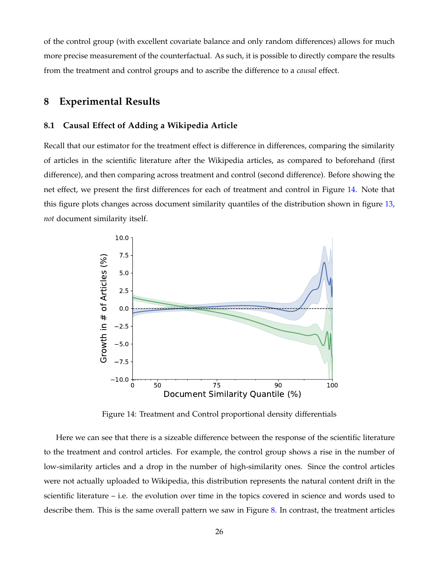of the control group (with excellent covariate balance and only random differences) allows for much more precise measurement of the counterfactual. As such, it is possible to directly compare the results from the treatment and control groups and to ascribe the difference to a *causal* effect.

### <span id="page-26-0"></span>**8 Experimental Results**

### <span id="page-26-1"></span>**8.1 Causal Effect of Adding a Wikipedia Article**

Recall that our estimator for the treatment effect is difference in differences, comparing the similarity of articles in the scientific literature after the Wikipedia articles, as compared to beforehand (first difference), and then comparing across treatment and control (second difference). Before showing the net effect, we present the first differences for each of treatment and control in Figure [14.](#page-26-2) Note that this figure plots changes across document similarity quantiles of the distribution shown in figure [13,](#page-24-0) *not* document similarity itself.

<span id="page-26-2"></span>

Figure 14: Treatment and Control proportional density differentials

Here we can see that there is a sizeable difference between the response of the scientific literature to the treatment and control articles. For example, the control group shows a rise in the number of low-similarity articles and a drop in the number of high-similarity ones. Since the control articles were not actually uploaded to Wikipedia, this distribution represents the natural content drift in the scientific literature – i.e. the evolution over time in the topics covered in science and words used to describe them. This is the same overall pattern we saw in Figure [8.](#page-17-0) In contrast, the treatment articles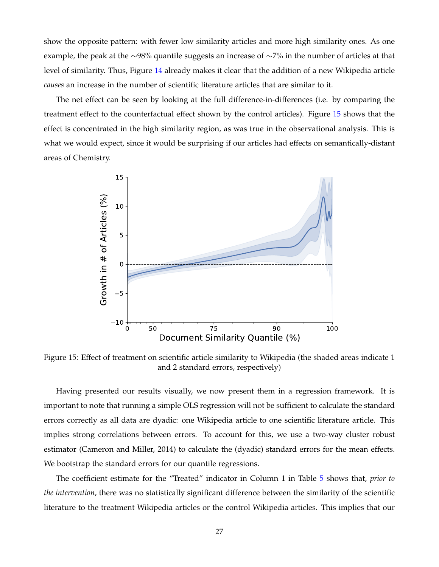show the opposite pattern: with fewer low similarity articles and more high similarity ones. As one example, the peak at the ∼98% quantile suggests an increase of ∼7% in the number of articles at that level of similarity. Thus, Figure [14](#page-26-2) already makes it clear that the addition of a new Wikipedia article *causes* an increase in the number of scientific literature articles that are similar to it.

The net effect can be seen by looking at the full difference-in-differences (i.e. by comparing the treatment effect to the counterfactual effect shown by the control articles). Figure [15](#page-27-0) shows that the effect is concentrated in the high similarity region, as was true in the observational analysis. This is what we would expect, since it would be surprising if our articles had effects on semantically-distant areas of Chemistry.

<span id="page-27-0"></span>

Figure 15: Effect of treatment on scientific article similarity to Wikipedia (the shaded areas indicate 1 and 2 standard errors, respectively)

Having presented our results visually, we now present them in a regression framework. It is important to note that running a simple OLS regression will not be sufficient to calculate the standard errors correctly as all data are dyadic: one Wikipedia article to one scientific literature article. This implies strong correlations between errors. To account for this, we use a two-way cluster robust estimator (Cameron and Miller, 2014) to calculate the (dyadic) standard errors for the mean effects. We bootstrap the standard errors for our quantile regressions.

The coefficient estimate for the "Treated" indicator in Column 1 in Table [5](#page-28-0) shows that, *prior to the intervention*, there was no statistically significant difference between the similarity of the scientific literature to the treatment Wikipedia articles or the control Wikipedia articles. This implies that our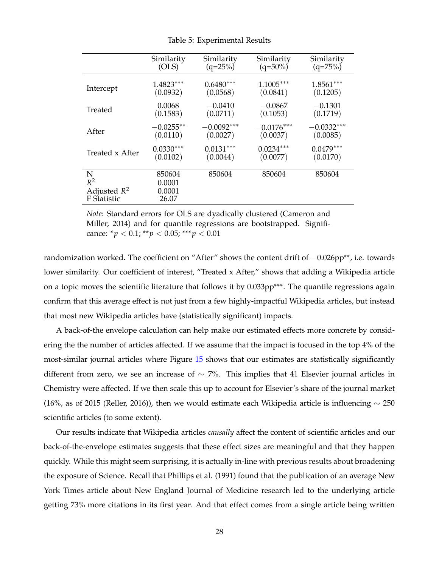<span id="page-28-0"></span>

|                                             | Similarity                          | Similarity   | Similarity   | Similarity   |
|---------------------------------------------|-------------------------------------|--------------|--------------|--------------|
|                                             | (OLS)                               | $(q=25%)$    | $(q=50\%)$   | $(q=75%)$    |
| Intercept                                   | $1.4823***$                         | $0.6480***$  | $1.1005***$  | $1.8561***$  |
|                                             | (0.0932)                            | (0.0568)     | (0.0841)     | (0.1205)     |
| Treated                                     | 0.0068                              | $-0.0410$    | $-0.0867$    | $-0.1301$    |
|                                             | (0.1583)                            | (0.0711)     | (0.1053)     | (0.1719)     |
| After                                       | $-0.0255**$                         | $-0.0092***$ | $-0.0176***$ | $-0.0332***$ |
|                                             | (0.0110)                            | (0.0027)     | (0.0037)     | (0.0085)     |
| Treated x After                             | $0.0330***$                         | $0.0131***$  | $0.0234***$  | $0.0479***$  |
|                                             | (0.0102)                            | (0.0044)     | (0.0077)     | (0.0170)     |
| N<br>$R^2$<br>Adjusted $R^2$<br>F Statistic | 850604<br>0.0001<br>0.0001<br>26.07 | 850604       | 850604       | 850604       |

Table 5: Experimental Results

*Note*: Standard errors for OLS are dyadically clustered (Cameron and Miller, 2014) and for quantile regressions are bootstrapped. Significance: \**p* < 0.1; \*\**p* < 0.05; \*\*\**p* < 0.01

randomization worked. The coefficient on "After" shows the content drift of −0.026pp\*\*, i.e. towards lower similarity. Our coefficient of interest, "Treated x After," shows that adding a Wikipedia article on a topic moves the scientific literature that follows it by 0.033pp\*\*\*. The quantile regressions again confirm that this average effect is not just from a few highly-impactful Wikipedia articles, but instead that most new Wikipedia articles have (statistically significant) impacts.

A back-of-the envelope calculation can help make our estimated effects more concrete by considering the the number of articles affected. If we assume that the impact is focused in the top 4% of the most-similar journal articles where Figure [15](#page-27-0) shows that our estimates are statistically significantly different from zero, we see an increase of  $\sim$  7%. This implies that 41 Elsevier journal articles in Chemistry were affected. If we then scale this up to account for Elsevier's share of the journal market (16%, as of 2015 (Reller, 2016)), then we would estimate each Wikipedia article is influencing  $\sim$  250 scientific articles (to some extent).

Our results indicate that Wikipedia articles *causally* affect the content of scientific articles and our back-of-the-envelope estimates suggests that these effect sizes are meaningful and that they happen quickly. While this might seem surprising, it is actually in-line with previous results about broadening the exposure of Science. Recall that Phillips et al. (1991) found that the publication of an average New York Times article about New England Journal of Medicine research led to the underlying article getting 73% more citations in its first year. And that effect comes from a single article being written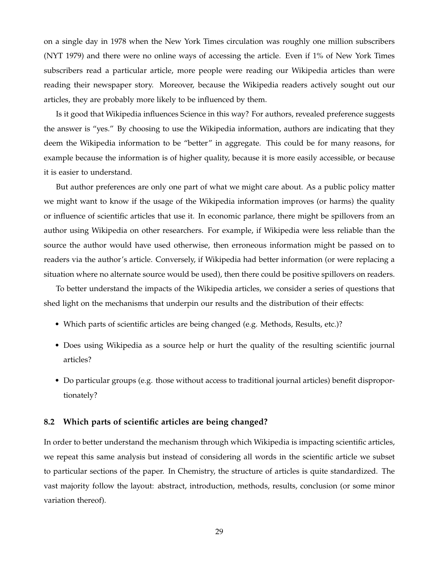on a single day in 1978 when the New York Times circulation was roughly one million subscribers (NYT 1979) and there were no online ways of accessing the article. Even if 1% of New York Times subscribers read a particular article, more people were reading our Wikipedia articles than were reading their newspaper story. Moreover, because the Wikipedia readers actively sought out our articles, they are probably more likely to be influenced by them.

Is it good that Wikipedia influences Science in this way? For authors, revealed preference suggests the answer is "yes." By choosing to use the Wikipedia information, authors are indicating that they deem the Wikipedia information to be "better" in aggregate. This could be for many reasons, for example because the information is of higher quality, because it is more easily accessible, or because it is easier to understand.

But author preferences are only one part of what we might care about. As a public policy matter we might want to know if the usage of the Wikipedia information improves (or harms) the quality or influence of scientific articles that use it. In economic parlance, there might be spillovers from an author using Wikipedia on other researchers. For example, if Wikipedia were less reliable than the source the author would have used otherwise, then erroneous information might be passed on to readers via the author's article. Conversely, if Wikipedia had better information (or were replacing a situation where no alternate source would be used), then there could be positive spillovers on readers.

To better understand the impacts of the Wikipedia articles, we consider a series of questions that shed light on the mechanisms that underpin our results and the distribution of their effects:

- Which parts of scientific articles are being changed (e.g. Methods, Results, etc.)?
- Does using Wikipedia as a source help or hurt the quality of the resulting scientific journal articles?
- Do particular groups (e.g. those without access to traditional journal articles) benefit disproportionately?

#### **8.2 Which parts of scientific articles are being changed?**

In order to better understand the mechanism through which Wikipedia is impacting scientific articles, we repeat this same analysis but instead of considering all words in the scientific article we subset to particular sections of the paper. In Chemistry, the structure of articles is quite standardized. The vast majority follow the layout: abstract, introduction, methods, results, conclusion (or some minor variation thereof).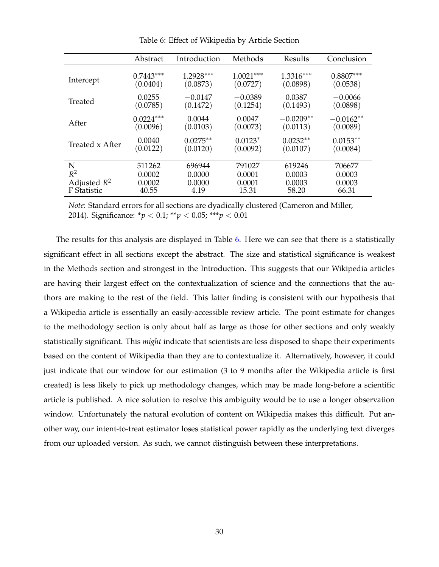<span id="page-30-0"></span>

|                 | Abstract    | Introduction | Methods     | Results     | Conclusion  |
|-----------------|-------------|--------------|-------------|-------------|-------------|
| Intercept       | $0.7443***$ | $1.2928***$  | $1.0021***$ | $1.3316***$ | $0.8807***$ |
|                 | (0.0404)    | (0.0873)     | (0.0727)    | (0.0898)    | (0.0538)    |
| Treated         | 0.0255      | $-0.0147$    | $-0.0389$   | 0.0387      | $-0.0066$   |
|                 | (0.0785)    | (0.1472)     | (0.1254)    | (0.1493)    | (0.0898)    |
| After           | $0.0224***$ | 0.0044       | 0.0047      | $-0.0209**$ | $-0.0162**$ |
|                 | (0.0096)    | (0.0103)     | (0.0073)    | (0.0113)    | (0.0089)    |
| Treated x After | 0.0040      | $0.0275**$   | $0.0123*$   | $0.0232**$  | $0.0153**$  |
|                 | (0.0122)    | (0.0120)     | (0.0092)    | (0.0107)    | (0.0084)    |
| N               | 511262      | 696944       | 791027      | 619246      | 706677      |
| $R^2$           | 0.0002      | 0.0000       | 0.0001      | 0.0003      | 0.0003      |
| Adjusted $R^2$  | 0.0002      | 0.0000       | 0.0001      | 0.0003      | 0.0003      |
| F Statistic     | 40.55       | 4.19         | 15.31       | 58.20       | 66.31       |

Table 6: Effect of Wikipedia by Article Section

*Note*: Standard errors for all sections are dyadically clustered (Cameron and Miller, 2014). Significance: \**p* < 0.1; \*\**p* < 0.05; \*\*\**p* < 0.01

The results for this analysis are displayed in Table [6.](#page-30-0) Here we can see that there is a statistically significant effect in all sections except the abstract. The size and statistical significance is weakest in the Methods section and strongest in the Introduction. This suggests that our Wikipedia articles are having their largest effect on the contextualization of science and the connections that the authors are making to the rest of the field. This latter finding is consistent with our hypothesis that a Wikipedia article is essentially an easily-accessible review article. The point estimate for changes to the methodology section is only about half as large as those for other sections and only weakly statistically significant. This *might* indicate that scientists are less disposed to shape their experiments based on the content of Wikipedia than they are to contextualize it. Alternatively, however, it could just indicate that our window for our estimation (3 to 9 months after the Wikipedia article is first created) is less likely to pick up methodology changes, which may be made long-before a scientific article is published. A nice solution to resolve this ambiguity would be to use a longer observation window. Unfortunately the natural evolution of content on Wikipedia makes this difficult. Put another way, our intent-to-treat estimator loses statistical power rapidly as the underlying text diverges from our uploaded version. As such, we cannot distinguish between these interpretations.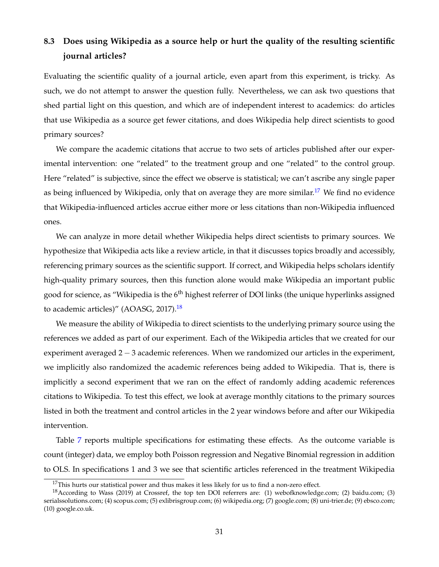### **8.3 Does using Wikipedia as a source help or hurt the quality of the resulting scientific journal articles?**

Evaluating the scientific quality of a journal article, even apart from this experiment, is tricky. As such, we do not attempt to answer the question fully. Nevertheless, we can ask two questions that shed partial light on this question, and which are of independent interest to academics: do articles that use Wikipedia as a source get fewer citations, and does Wikipedia help direct scientists to good primary sources?

We compare the academic citations that accrue to two sets of articles published after our experimental intervention: one "related" to the treatment group and one "related" to the control group. Here "related" is subjective, since the effect we observe is statistical; we can't ascribe any single paper as being influenced by Wikipedia, only that on average they are more similar.<sup>[17](#page-31-0)</sup> We find no evidence that Wikipedia-influenced articles accrue either more or less citations than non-Wikipedia influenced ones.

We can analyze in more detail whether Wikipedia helps direct scientists to primary sources. We hypothesize that Wikipedia acts like a review article, in that it discusses topics broadly and accessibly, referencing primary sources as the scientific support. If correct, and Wikipedia helps scholars identify high-quality primary sources, then this function alone would make Wikipedia an important public good for science, as "Wikipedia is the 6<sup>th</sup> highest referrer of DOI links (the unique hyperlinks assigned to academic articles)" (AOASG, 2017).<sup>[18](#page-31-1)</sup>

We measure the ability of Wikipedia to direct scientists to the underlying primary source using the references we added as part of our experiment. Each of the Wikipedia articles that we created for our experiment averaged 2 − 3 academic references. When we randomized our articles in the experiment, we implicitly also randomized the academic references being added to Wikipedia. That is, there is implicitly a second experiment that we ran on the effect of randomly adding academic references citations to Wikipedia. To test this effect, we look at average monthly citations to the primary sources listed in both the treatment and control articles in the 2 year windows before and after our Wikipedia intervention.

Table [7](#page-32-0) reports multiple specifications for estimating these effects. As the outcome variable is count (integer) data, we employ both Poisson regression and Negative Binomial regression in addition to OLS. In specifications 1 and 3 we see that scientific articles referenced in the treatment Wikipedia

<span id="page-31-1"></span><span id="page-31-0"></span> $17$ This hurts our statistical power and thus makes it less likely for us to find a non-zero effect.

<sup>18</sup>According to Wass (2019) at Crossref, the top ten DOI referrers are: (1) webofknowledge.com; (2) baidu.com; (3) serialssolutions.com; (4) scopus.com; (5) exlibrisgroup.com; (6) wikipedia.org; (7) google.com; (8) uni-trier.de; (9) ebsco.com; (10) google.co.uk.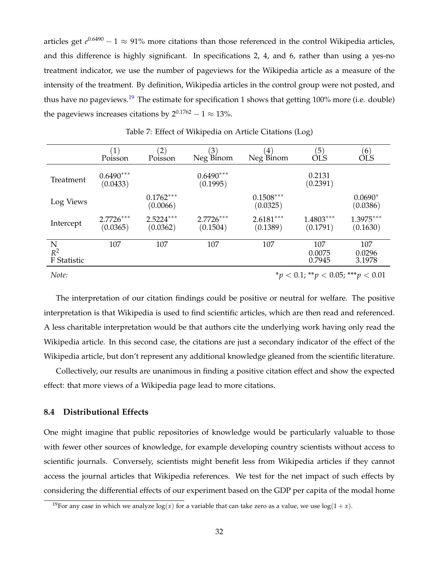articles get *e* 0.6490 − 1 ≈ 91% more citations than those referenced in the control Wikipedia articles, and this difference is highly significant. In specifications 2, 4, and 6, rather than using a yes-no treatment indicator, we use the number of pageviews for the Wikipedia article as a measure of the intensity of the treatment. By definition, Wikipedia articles in the control group were not posted, and thus have no pageviews.<sup>[19](#page-32-1)</sup> The estimate for specification 1 shows that getting 100% more (i.e. double) the pageviews increases citations by  $2^{0.1762} - 1 \approx 13\%$ .

<span id="page-32-0"></span>

|                           | $\left  \right $<br>Poisson | $\left( 2\right)$<br>Poisson | $\left(3\right)$<br>Neg Binom | $\overline{4}$<br>Neg Binom | $\left(5\right)$<br>ÒĽS | (6)<br>ÒĽS              |
|---------------------------|-----------------------------|------------------------------|-------------------------------|-----------------------------|-------------------------|-------------------------|
| Treatment                 | $0.6490***$<br>(0.0433)     |                              | $0.6490***$<br>(0.1995)       |                             | 0.2131<br>(0.2391)      |                         |
| Log Views                 |                             | $0.1762***$<br>(0.0066)      |                               | $0.1508***$<br>(0.0325)     |                         | $0.0690*$<br>(0.0386)   |
| Intercept                 | $2.7726***$<br>(0.0365)     | $2.5224***$<br>(0.0362)      | $2.7726***$<br>(0.1504)       | $2.6181***$<br>(0.1389)     | $1.4803***$<br>(0.1791) | $1.3975***$<br>(0.1630) |
| N<br>$R^2$<br>F Statistic | 107                         | 107                          | 107                           | 107                         | 107<br>0.0075<br>0.7945 | 107<br>0.0296<br>3.1978 |

Table 7: Effect of Wikipedia on Article Citations (Log)

*Note:* \**p* < 0.1; \*\**p* < 0.05; \*\*\**p* < 0.01

The interpretation of our citation findings could be positive or neutral for welfare. The positive interpretation is that Wikipedia is used to find scientific articles, which are then read and referenced. A less charitable interpretation would be that authors cite the underlying work having only read the Wikipedia article. In this second case, the citations are just a secondary indicator of the effect of the Wikipedia article, but don't represent any additional knowledge gleaned from the scientific literature.

Collectively, our results are unanimous in finding a positive citation effect and show the expected effect: that more views of a Wikipedia page lead to more citations.

### **8.4 Distributional Effects**

One might imagine that public repositories of knowledge would be particularly valuable to those with fewer other sources of knowledge, for example developing country scientists without access to scientific journals. Conversely, scientists might benefit less from Wikipedia articles if they cannot access the journal articles that Wikipedia references. We test for the net impact of such effects by considering the differential effects of our experiment based on the GDP per capita of the modal home

<span id="page-32-1"></span><sup>&</sup>lt;sup>19</sup>For any case in which we analyze  $log(x)$  for a variable that can take zero as a value, we use  $log(1 + x)$ .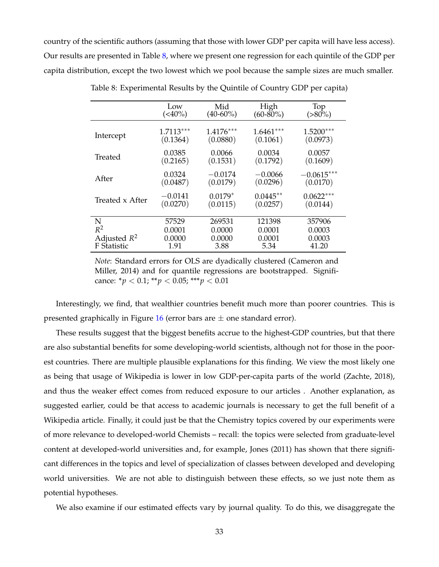<span id="page-33-0"></span>country of the scientific authors (assuming that those with lower GDP per capita will have less access). Our results are presented in Table [8,](#page-33-0) where we present one regression for each quintile of the GDP per capita distribution, except the two lowest which we pool because the sample sizes are much smaller.

|                 | Low           | Mid         | High          | Top          |
|-----------------|---------------|-------------|---------------|--------------|
|                 | $(\leq 40\%)$ | $(40-60\%)$ | $(60 - 80\%)$ | $(>80\%)$    |
| Intercept       | $1.7113***$   | $1.4176***$ | $1.6461***$   | $1.5200***$  |
|                 | (0.1364)      | (0.0880)    | (0.1061)      | (0.0973)     |
| Treated         | 0.0385        | 0.0066      | 0.0034        | 0.0057       |
|                 | (0.2165)      | (0.1531)    | (0.1792)      | (0.1609)     |
| After           | 0.0324        | $-0.0174$   | $-0.0066$     | $-0.0615***$ |
|                 | (0.0487)      | (0.0179)    | (0.0296)      | (0.0170)     |
| Treated x After | $-0.0141$     | $0.0179*$   | $0.0445**$    | $0.0622***$  |
|                 | (0.0270)      | (0.0115)    | (0.0257)      | (0.0144)     |
| N               | 57529         | 269531      | 121398        | 357906       |
| $R^2$           | 0.0001        | 0.0000      | 0.0001        | 0.0003       |
| Adjusted $R^2$  | 0.0000        | 0.0000      | 0.0001        | 0.0003       |
| F Statistic     | 1.91          | 3.88        | 5.34          | 41.20        |

Table 8: Experimental Results by the Quintile of Country GDP per capita)

*Note*: Standard errors for OLS are dyadically clustered (Cameron and Miller, 2014) and for quantile regressions are bootstrapped. Significance:  $* p < 0.1$ ;  $** p < 0.05$ ;  $** p < 0.01$ 

Interestingly, we find, that wealthier countries benefit much more than poorer countries. This is presented graphically in Figure [16](#page-34-0) (error bars are  $\pm$  one standard error).

These results suggest that the biggest benefits accrue to the highest-GDP countries, but that there are also substantial benefits for some developing-world scientists, although not for those in the poorest countries. There are multiple plausible explanations for this finding. We view the most likely one as being that usage of Wikipedia is lower in low GDP-per-capita parts of the world (Zachte, 2018), and thus the weaker effect comes from reduced exposure to our articles . Another explanation, as suggested earlier, could be that access to academic journals is necessary to get the full benefit of a Wikipedia article. Finally, it could just be that the Chemistry topics covered by our experiments were of more relevance to developed-world Chemists – recall: the topics were selected from graduate-level content at developed-world universities and, for example, Jones (2011) has shown that there significant differences in the topics and level of specialization of classes between developed and developing world universities. We are not able to distinguish between these effects, so we just note them as potential hypotheses.

We also examine if our estimated effects vary by journal quality. To do this, we disaggregate the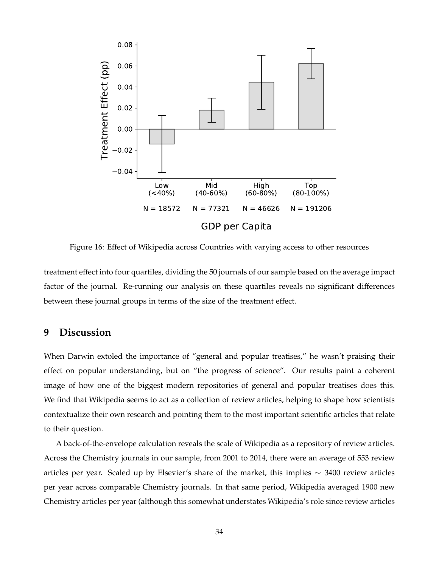<span id="page-34-0"></span>

Figure 16: Effect of Wikipedia across Countries with varying access to other resources

treatment effect into four quartiles, dividing the 50 journals of our sample based on the average impact factor of the journal. Re-running our analysis on these quartiles reveals no significant differences between these journal groups in terms of the size of the treatment effect.

### **9 Discussion**

When Darwin extoled the importance of "general and popular treatises," he wasn't praising their effect on popular understanding, but on "the progress of science". Our results paint a coherent image of how one of the biggest modern repositories of general and popular treatises does this. We find that Wikipedia seems to act as a collection of review articles, helping to shape how scientists contextualize their own research and pointing them to the most important scientific articles that relate to their question.

A back-of-the-envelope calculation reveals the scale of Wikipedia as a repository of review articles. Across the Chemistry journals in our sample, from 2001 to 2014, there were an average of 553 review articles per year. Scaled up by Elsevier's share of the market, this implies  $\sim$  3400 review articles per year across comparable Chemistry journals. In that same period, Wikipedia averaged 1900 new Chemistry articles per year (although this somewhat understates Wikipedia's role since review articles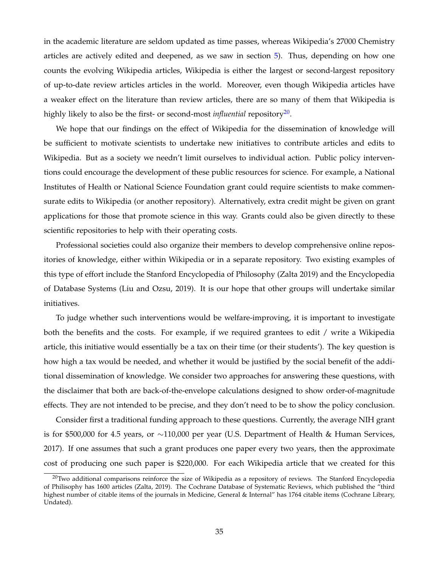in the academic literature are seldom updated as time passes, whereas Wikipedia's 27000 Chemistry articles are actively edited and deepened, as we saw in section [5\)](#page-11-0). Thus, depending on how one counts the evolving Wikipedia articles, Wikipedia is either the largest or second-largest repository of up-to-date review articles articles in the world. Moreover, even though Wikipedia articles have a weaker effect on the literature than review articles, there are so many of them that Wikipedia is highly likely to also be the first- or second-most *influential* repository<sup>[20](#page-35-0)</sup>.

We hope that our findings on the effect of Wikipedia for the dissemination of knowledge will be sufficient to motivate scientists to undertake new initiatives to contribute articles and edits to Wikipedia. But as a society we needn't limit ourselves to individual action. Public policy interventions could encourage the development of these public resources for science. For example, a National Institutes of Health or National Science Foundation grant could require scientists to make commensurate edits to Wikipedia (or another repository). Alternatively, extra credit might be given on grant applications for those that promote science in this way. Grants could also be given directly to these scientific repositories to help with their operating costs.

Professional societies could also organize their members to develop comprehensive online repositories of knowledge, either within Wikipedia or in a separate repository. Two existing examples of this type of effort include the Stanford Encyclopedia of Philosophy (Zalta 2019) and the Encyclopedia of Database Systems (Liu and Ozsu, 2019). It is our hope that other groups will undertake similar initiatives.

To judge whether such interventions would be welfare-improving, it is important to investigate both the benefits and the costs. For example, if we required grantees to edit / write a Wikipedia article, this initiative would essentially be a tax on their time (or their students'). The key question is how high a tax would be needed, and whether it would be justified by the social benefit of the additional dissemination of knowledge. We consider two approaches for answering these questions, with the disclaimer that both are back-of-the-envelope calculations designed to show order-of-magnitude effects. They are not intended to be precise, and they don't need to be to show the policy conclusion.

Consider first a traditional funding approach to these questions. Currently, the average NIH grant is for \$500,000 for 4.5 years, or  $\sim$ 110,000 per year (U.S. Department of Health & Human Services, 2017). If one assumes that such a grant produces one paper every two years, then the approximate cost of producing one such paper is \$220,000. For each Wikipedia article that we created for this

<span id="page-35-0"></span> $^{20}$ Two additional comparisons reinforce the size of Wikipedia as a repository of reviews. The Stanford Encyclopedia of Philisophy has 1600 articles (Zalta, 2019). The Cochrane Database of Systematic Reviews, which published the "third highest number of citable items of the journals in Medicine, General & Internal" has 1764 citable items (Cochrane Library, Undated).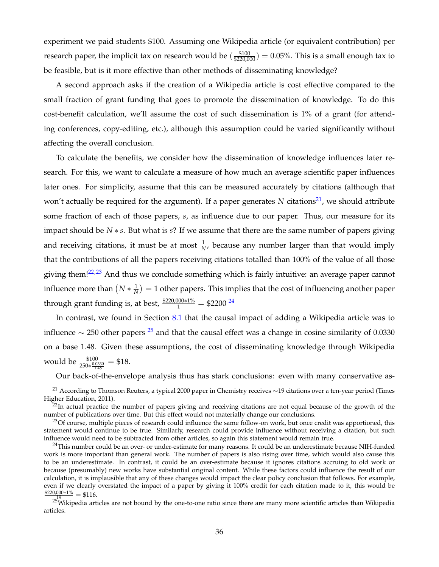experiment we paid students \$100. Assuming one Wikipedia article (or equivalent contribution) per research paper, the implicit tax on research would be  $(\frac{$100}{\$220,000}) = 0.05\%$ . This is a small enough tax to be feasible, but is it more effective than other methods of disseminating knowledge?

A second approach asks if the creation of a Wikipedia article is cost effective compared to the small fraction of grant funding that goes to promote the dissemination of knowledge. To do this cost-benefit calculation, we'll assume the cost of such dissemination is 1% of a grant (for attending conferences, copy-editing, etc.), although this assumption could be varied significantly without affecting the overall conclusion.

To calculate the benefits, we consider how the dissemination of knowledge influences later research. For this, we want to calculate a measure of how much an average scientific paper influences later ones. For simplicity, assume that this can be measured accurately by citations (although that won't actually be required for the argument). If a paper generates N citations<sup>[21](#page-36-0)</sup>, we should attribute some fraction of each of those papers, *s*, as influence due to our paper. Thus, our measure for its impact should be *N* ∗ *s*. But what is *s*? If we assume that there are the same number of papers giving and receiving citations, it must be at most  $\frac{1}{N}$ , because any number larger than that would imply that the contributions of all the papers receiving citations totalled than 100% of the value of all those giving them! $22,23$  $22,23$  And thus we conclude something which is fairly intuitive: an average paper cannot influence more than  $(N*\frac{1}{N})=1$  other papers. This implies that the cost of influencing another paper through grant funding is, at best,  $\frac{$220,000*1\%}{1} = $2200\frac{24}{1}$  $\frac{$220,000*1\%}{1} = $2200\frac{24}{1}$  $\frac{$220,000*1\%}{1} = $2200\frac{24}{1}$ 

In contrast, we found in Section [8.1](#page-26-1) that the causal impact of adding a Wikipedia article was to influence  $\sim$  [25](#page-36-4)0 other papers <sup>25</sup> and that the causal effect was a change in cosine similarity of 0.0330 on a base 1.48. Given these assumptions, the cost of disseminating knowledge through Wikipedia would be  $\frac{$100}{$250 * \frac{0.0330}{1.48}} = $18.$ 

<span id="page-36-0"></span>Our back-of-the-envelope analysis thus has stark conclusions: even with many conservative as-

<sup>21</sup> According to Thomson Reuters, a typical 2000 paper in Chemistry receives ∼19 citations over a ten-year period (Times Higher Education, 2011).

<span id="page-36-1"></span> $^{22}$ In actual practice the number of papers giving and receiving citations are not equal because of the growth of the number of publications over time. But this effect would not materially change our conclusions.

<span id="page-36-2"></span> $^{23}$ Of course, multiple pieces of research could influence the same follow-on work, but once credit was apportioned, this statement would continue to be true. Similarly, research could provide influence without receiving a citation, but such influence would need to be subtracted from other articles, so again this statement would remain true.

<span id="page-36-3"></span> $24$ This number could be an over- or under-estimate for many reasons. It could be an underestimate because NIH-funded work is more important than general work. The number of papers is also rising over time, which would also cause this to be an underestimate. In contrast, it could be an over-estimate because it ignores citations accruing to old work or because (presumably) new works have substantial original content. While these factors could influence the result of our calculation, it is implausible that any of these changes would impact the clear policy conclusion that follows. For example, even if we clearly overstated the impact of a paper by giving it 100% credit for each citation made to it, this would be  $\frac{$220,000*1\%}{2^{19}} = $116.$ 

<span id="page-36-4"></span> $25$ Wikipedia articles are not bound by the one-to-one ratio since there are many more scientific articles than Wikipedia articles.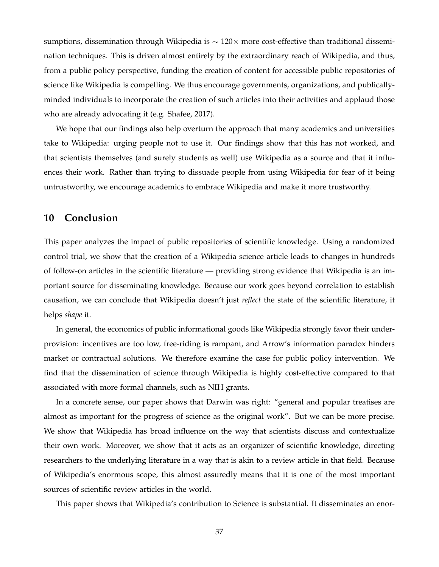sumptions, dissemination through Wikipedia is ~ 120× more cost-effective than traditional dissemination techniques. This is driven almost entirely by the extraordinary reach of Wikipedia, and thus, from a public policy perspective, funding the creation of content for accessible public repositories of science like Wikipedia is compelling. We thus encourage governments, organizations, and publicallyminded individuals to incorporate the creation of such articles into their activities and applaud those who are already advocating it (e.g. Shafee, 2017).

We hope that our findings also help overturn the approach that many academics and universities take to Wikipedia: urging people not to use it. Our findings show that this has not worked, and that scientists themselves (and surely students as well) use Wikipedia as a source and that it influences their work. Rather than trying to dissuade people from using Wikipedia for fear of it being untrustworthy, we encourage academics to embrace Wikipedia and make it more trustworthy.

### **10 Conclusion**

This paper analyzes the impact of public repositories of scientific knowledge. Using a randomized control trial, we show that the creation of a Wikipedia science article leads to changes in hundreds of follow-on articles in the scientific literature — providing strong evidence that Wikipedia is an important source for disseminating knowledge. Because our work goes beyond correlation to establish causation, we can conclude that Wikipedia doesn't just *reflect* the state of the scientific literature, it helps *shape* it.

In general, the economics of public informational goods like Wikipedia strongly favor their underprovision: incentives are too low, free-riding is rampant, and Arrow's information paradox hinders market or contractual solutions. We therefore examine the case for public policy intervention. We find that the dissemination of science through Wikipedia is highly cost-effective compared to that associated with more formal channels, such as NIH grants.

In a concrete sense, our paper shows that Darwin was right: "general and popular treatises are almost as important for the progress of science as the original work". But we can be more precise. We show that Wikipedia has broad influence on the way that scientists discuss and contextualize their own work. Moreover, we show that it acts as an organizer of scientific knowledge, directing researchers to the underlying literature in a way that is akin to a review article in that field. Because of Wikipedia's enormous scope, this almost assuredly means that it is one of the most important sources of scientific review articles in the world.

This paper shows that Wikipedia's contribution to Science is substantial. It disseminates an enor-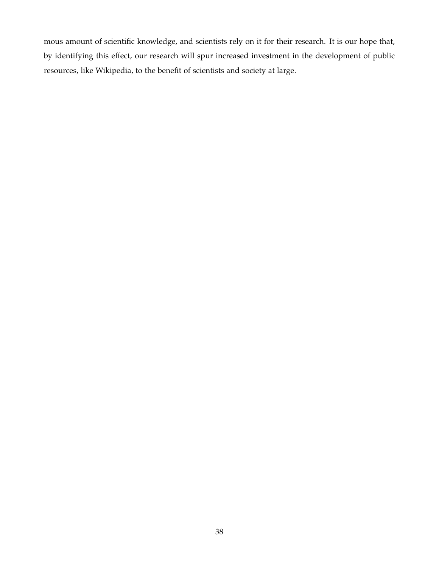mous amount of scientific knowledge, and scientists rely on it for their research. It is our hope that, by identifying this effect, our research will spur increased investment in the development of public resources, like Wikipedia, to the benefit of scientists and society at large.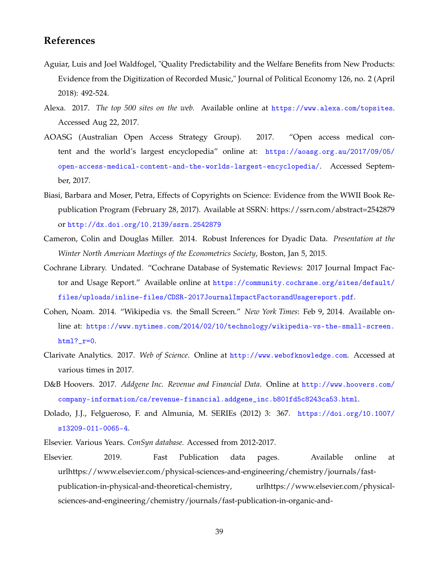### **References**

- Aguiar, Luis and Joel Waldfogel, "Quality Predictability and the Welfare Benefits from New Products: Evidence from the Digitization of Recorded Music," Journal of Political Economy 126, no. 2 (April 2018): 492-524.
- Alexa. 2017. *The top 500 sites on the web.* Available online at <https://www.alexa.com/topsites>. Accessed Aug 22, 2017.
- AOASG (Australian Open Access Strategy Group). 2017. "Open access medical content and the world's largest encyclopedia" online at: [https://aoasg.org.au/2017/09/05/](https://aoasg.org.au/2017/09/05/open-access-medical-content-and-the-worlds-largest-encyclopedia/) [open-access-medical-content-and-the-worlds-largest-encyclopedia/](https://aoasg.org.au/2017/09/05/open-access-medical-content-and-the-worlds-largest-encyclopedia/). Accessed September, 2017.
- Biasi, Barbara and Moser, Petra, Effects of Copyrights on Science: Evidence from the WWII Book Republication Program (February 28, 2017). Available at SSRN: https://ssrn.com/abstract=2542879 or <http://dx.doi.org/10.2139/ssrn.2542879>
- Cameron, Colin and Douglas Miller. 2014. Robust Inferences for Dyadic Data. *Presentation at the Winter North American Meetings of the Econometrics Society*, Boston, Jan 5, 2015.
- Cochrane Library. Undated. "Cochrane Database of Systematic Reviews: 2017 Journal Impact Factor and Usage Report." Available online at [https://community.cochrane.org/sites/default/](https://community.cochrane.org/sites/default/files/uploads/inline-files/CDSR - 2017 Journal Impact Factor and Usage report.pdf) [files/uploads/inline-files/CDSR-2017JournalImpactFactorandUsagereport.pdf](https://community.cochrane.org/sites/default/files/uploads/inline-files/CDSR - 2017 Journal Impact Factor and Usage report.pdf).
- Cohen, Noam. 2014. "Wikipedia vs. the Small Screen." *New York Times*: Feb 9, 2014. Available online at: [https://www.nytimes.com/2014/02/10/technology/wikipedia-vs-the-small-screen.](https://www.nytimes.com/2014/02/10/technology/wikipedia-vs-the-small-screen.html?_r=0) [html?\\_r=0](https://www.nytimes.com/2014/02/10/technology/wikipedia-vs-the-small-screen.html?_r=0).
- Clarivate Analytics. 2017. *Web of Science*. Online at <http://www.webofknowledge.com>. Accessed at various times in 2017.
- D&B Hoovers. 2017. *Addgene Inc. Revenue and Financial Data*. Online at [http://www.hoovers.com/](http://www.hoovers.com/company-information/cs/revenue-financial.addgene_inc.b801fd5c8243ca53.html) [company-information/cs/revenue-financial.addgene\\_inc.b801fd5c8243ca53.html](http://www.hoovers.com/company-information/cs/revenue-financial.addgene_inc.b801fd5c8243ca53.html).
- Dolado, J.J., Felgueroso, F. and Almunia, M. SERIEs (2012) 3: 367. [https://doi.org/10.1007/](https://doi.org/10.1007/s13209-011-0065-4) [s13209-011-0065-4](https://doi.org/10.1007/s13209-011-0065-4).
- Elsevier. Various Years. *ConSyn database.* Accessed from 2012-2017.
- Elsevier. 2019. Fast Publication data pages. Available online at urlhttps://www.elsevier.com/physical-sciences-and-engineering/chemistry/journals/fastpublication-in-physical-and-theoretical-chemistry, urlhttps://www.elsevier.com/physicalsciences-and-engineering/chemistry/journals/fast-publication-in-organic-and-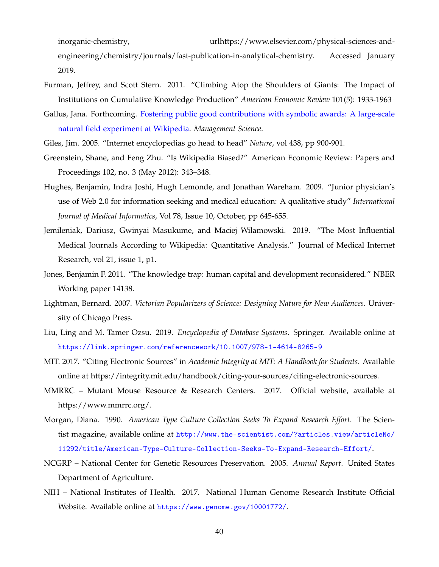inorganic-chemistry,  $u$ rlhttps://www.elsevier.com/physical-sciences-andengineering/chemistry/journals/fast-publication-in-analytical-chemistry. Accessed January 2019.

- Furman, Jeffrey, and Scott Stern. 2011. "Climbing Atop the Shoulders of Giants: The Impact of Institutions on Cumulative Knowledge Production" *American Economic Review* 101(5): 1933-1963
- Gallus, Jana. Forthcoming. [Fostering public good contributions with symbolic awards: A large-scale](http://pubsonline.informs.org/doi/abs/10.1287/mnsc.2016.2540) [natural field experiment at Wikipedia.](http://pubsonline.informs.org/doi/abs/10.1287/mnsc.2016.2540) *Management Science*.

Giles, Jim. 2005. "Internet encyclopedias go head to head" *Nature*, vol 438, pp 900-901.

- Greenstein, Shane, and Feng Zhu. "Is Wikipedia Biased?" American Economic Review: Papers and Proceedings 102, no. 3 (May 2012): 343–348.
- Hughes, Benjamin, Indra Joshi, Hugh Lemonde, and Jonathan Wareham. 2009. "Junior physician's use of Web 2.0 for information seeking and medical education: A qualitative study" *International Journal of Medical Informatics*, Vol 78, Issue 10, October, pp 645-655.
- Jemileniak, Dariusz, Gwinyai Masukume, and Maciej Wilamowski. 2019. "The Most Influential Medical Journals According to Wikipedia: Quantitative Analysis." Journal of Medical Internet Research, vol 21, issue 1, p1.
- Jones, Benjamin F. 2011. "The knowledge trap: human capital and development reconsidered." NBER Working paper 14138.
- Lightman, Bernard. 2007. *Victorian Popularizers of Science: Designing Nature for New Audiences*. University of Chicago Press.
- Liu, Ling and M. Tamer Ozsu. 2019. *Encyclopedia of Database Systems*. Springer. Available online at <https://link.springer.com/referencework/10.1007/978-1-4614-8265-9>
- MIT. 2017. "Citing Electronic Sources" in *Academic Integrity at MIT: A Handbook for Students*. Available online at https://integrity.mit.edu/handbook/citing-your-sources/citing-electronic-sources.
- MMRRC Mutant Mouse Resource & Research Centers. 2017. Official website, available at https://www.mmrrc.org/.
- Morgan, Diana. 1990. *American Type Culture Collection Seeks To Expand Research Effort*. The Scientist magazine, available online at [http://www.the-scientist.com/?articles.view/articleNo/](http://www.the-scientist.com/?articles.view/articleNo/11292/title/American-Type-Culture-Collection-Seeks-To-Expand-Research-Effort/) [11292/title/American-Type-Culture-Collection-Seeks-To-Expand-Research-Effort/](http://www.the-scientist.com/?articles.view/articleNo/11292/title/American-Type-Culture-Collection-Seeks-To-Expand-Research-Effort/).
- NCGRP National Center for Genetic Resources Preservation. 2005. *Annual Report*. United States Department of Agriculture.
- NIH National Institutes of Health. 2017. National Human Genome Research Institute Official Website. Available online at <https://www.genome.gov/10001772/>.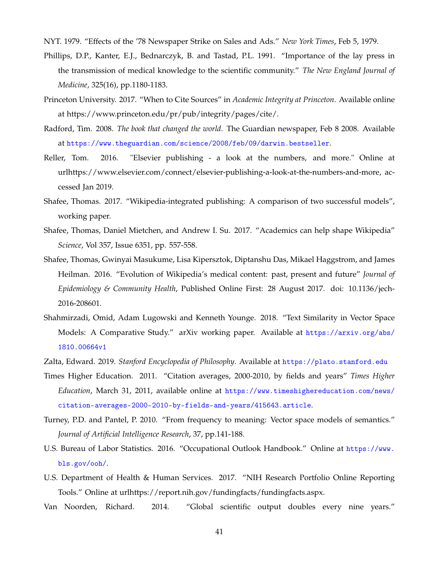NYT. 1979. "Effects of the '78 Newspaper Strike on Sales and Ads." *New York Times*, Feb 5, 1979.

- Phillips, D.P., Kanter, E.J., Bednarczyk, B. and Tastad, P.L. 1991. "Importance of the lay press in the transmission of medical knowledge to the scientific community." *The New England Journal of Medicine*, 325(16), pp.1180-1183.
- Princeton University. 2017. "When to Cite Sources" in *Academic Integrity at Princeton*. Available online at https://www.princeton.edu/pr/pub/integrity/pages/cite/.
- Radford, Tim. 2008. *The book that changed the world.* The Guardian newspaper, Feb 8 2008. Available at <https://www.theguardian.com/science/2008/feb/09/darwin.bestseller>.
- Reller, Tom. 2016. "Elsevier publishing a look at the numbers, and more." Online at urlhttps://www.elsevier.com/connect/elsevier-publishing-a-look-at-the-numbers-and-more, accessed Jan 2019.
- Shafee, Thomas. 2017. "Wikipedia-integrated publishing: A comparison of two successful models", working paper.
- Shafee, Thomas, Daniel Mietchen, and Andrew I. Su. 2017. "Academics can help shape Wikipedia" *Science*, Vol 357, Issue 6351, pp. 557-558.
- Shafee, Thomas, Gwinyai Masukume, Lisa Kipersztok, Diptanshu Das, Mikael Haggstrom, and James Heilman. 2016. "Evolution of Wikipedia's medical content: past, present and future" *Journal of Epidemiology & Community Health*, Published Online First: 28 August 2017. doi: 10.1136/jech-2016-208601.
- Shahmirzadi, Omid, Adam Lugowski and Kenneth Younge. 2018. "Text Similarity in Vector Space Models: A Comparative Study." arXiv working paper. Available at [https://arxiv.org/abs/](https://arxiv.org/abs/1810.00664v1) [1810.00664v1](https://arxiv.org/abs/1810.00664v1)
- Zalta, Edward. 2019. *Stanford Encyclopedia of Philosophy*. Available at <https://plato.stanford.edu>
- Times Higher Education. 2011. "Citation averages, 2000-2010, by fields and years" *Times Higher Education*, March 31, 2011, available online at [https://www.timeshighereducation.com/news/](https://www.timeshighereducation.com/news/citation-averages-2000-2010-by-fields-and-years/415643.article) [citation-averages-2000-2010-by-fields-and-years/415643.article](https://www.timeshighereducation.com/news/citation-averages-2000-2010-by-fields-and-years/415643.article).
- Turney, P.D. and Pantel, P. 2010. "From frequency to meaning: Vector space models of semantics." *Journal of Artificial Intelligence Research*, 37, pp.141-188.
- U.S. Bureau of Labor Statistics. 2016. "Occupational Outlook Handbook." Online at [https://www.](https://www.bls.gov/ooh/) [bls.gov/ooh/](https://www.bls.gov/ooh/).
- U.S. Department of Health & Human Services. 2017. "NIH Research Portfolio Online Reporting Tools." Online at urlhttps://report.nih.gov/fundingfacts/fundingfacts.aspx.
- Van Noorden, Richard. 2014. "Global scientific output doubles every nine years."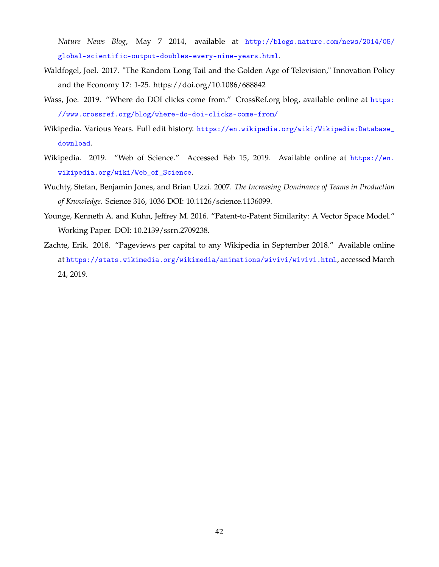*Nature News Blog*, May 7 2014, available at [http://blogs.nature.com/news/2014/05/](http://blogs.nature.com/news/2014/05/global-scientific-output-doubles-every-nine-years.html) [global-scientific-output-doubles-every-nine-years.html](http://blogs.nature.com/news/2014/05/global-scientific-output-doubles-every-nine-years.html).

- Waldfogel, Joel. 2017. "The Random Long Tail and the Golden Age of Television," Innovation Policy and the Economy 17: 1-25. https://doi.org/10.1086/688842
- Wass, Joe. 2019. "Where do DOI clicks come from." CrossRef.org blog, available online at [https:](https://www.crossref.org/blog/where-do-doi-clicks-come-from/) [//www.crossref.org/blog/where-do-doi-clicks-come-from/](https://www.crossref.org/blog/where-do-doi-clicks-come-from/)
- Wikipedia. Various Years. Full edit history. [https://en.wikipedia.org/wiki/Wikipedia:Database\\_](https://en.wikipedia.org/wiki/Wikipedia:Database_download) [download](https://en.wikipedia.org/wiki/Wikipedia:Database_download).
- Wikipedia. 2019. "Web of Science." Accessed Feb 15, 2019. Available online at [https://en.](https://en.wikipedia.org/wiki/Web_of_Science) [wikipedia.org/wiki/Web\\_of\\_Science](https://en.wikipedia.org/wiki/Web_of_Science).
- Wuchty, Stefan, Benjamin Jones, and Brian Uzzi. 2007. *The Increasing Dominance of Teams in Production of Knowledge.* Science 316, 1036 DOI: 10.1126/science.1136099.
- Younge, Kenneth A. and Kuhn, Jeffrey M. 2016. "Patent-to-Patent Similarity: A Vector Space Model." Working Paper. DOI: 10.2139/ssrn.2709238.
- Zachte, Erik. 2018. "Pageviews per capital to any Wikipedia in September 2018." Available online at <https://stats.wikimedia.org/wikimedia/animations/wivivi/wivivi.html>, accessed March 24, 2019.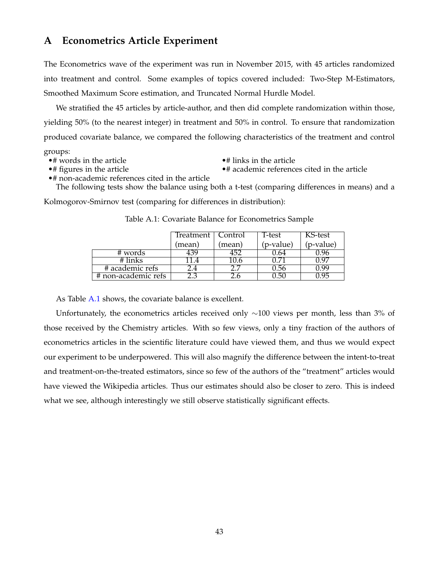### <span id="page-43-0"></span>**A Econometrics Article Experiment**

The Econometrics wave of the experiment was run in November 2015, with 45 articles randomized into treatment and control. Some examples of topics covered included: Two-Step M-Estimators, Smoothed Maximum Score estimation, and Truncated Normal Hurdle Model.

We stratified the 45 articles by article-author, and then did complete randomization within those, yielding 50% (to the nearest integer) in treatment and 50% in control. To ensure that randomization produced covariate balance, we compared the following characteristics of the treatment and control

groups:

• words in the article •  $\bullet$  # links in the article •  $\bullet$  # academic reference

 $•#$  academic references cited in the article

•# non-academic references cited in the article The following tests show the balance using both a t-test (comparing differences in means) and a

<span id="page-43-1"></span>Kolmogorov-Smirnov test (comparing for differences in distribution):

|                     | Treatment      | Control | T-test    | KS-test   |
|---------------------|----------------|---------|-----------|-----------|
|                     | mean)          | (mean)  | (p-value) | (p-value) |
| # words             | <sup>139</sup> | 452     | J.64      | 1.96      |
| # links             |                | .U.6    |           | ነ ዓ7      |
| # academic refs     |                |         | J.56      | 1 QQ      |
| # non-academic refs |                |         | ).50      | 1 95      |

Table A.1: Covariate Balance for Econometrics Sample

As Table [A.1](#page-43-1) shows, the covariate balance is excellent.

Unfortunately, the econometrics articles received only ∼100 views per month, less than 3% of those received by the Chemistry articles. With so few views, only a tiny fraction of the authors of econometrics articles in the scientific literature could have viewed them, and thus we would expect our experiment to be underpowered. This will also magnify the difference between the intent-to-treat and treatment-on-the-treated estimators, since so few of the authors of the "treatment" articles would have viewed the Wikipedia articles. Thus our estimates should also be closer to zero. This is indeed what we see, although interestingly we still observe statistically significant effects.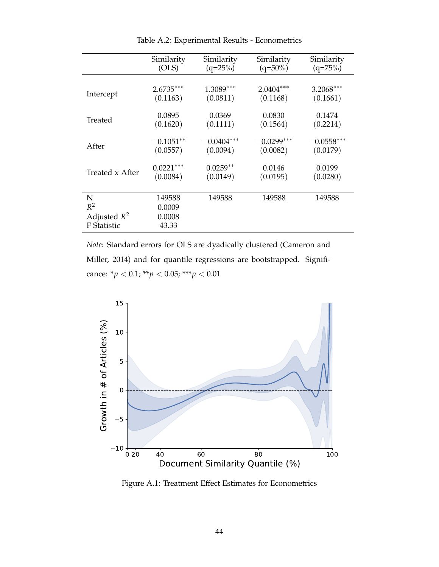|                                                    | Similarity                          | Similarity   | Similarity   | Similarity   |
|----------------------------------------------------|-------------------------------------|--------------|--------------|--------------|
|                                                    | (OLS)                               | $(q=25%)$    | $(q=50\%)$   | $(q=75%)$    |
| Intercept                                          | $2.6735***$                         | $1.3089***$  | $2.0404***$  | $3.2068***$  |
|                                                    | (0.1163)                            | (0.0811)     | (0.1168)     | (0.1661)     |
| Treated                                            | 0.0895                              | 0.0369       | 0.0830       | 0.1474       |
|                                                    | (0.1620)                            | (0.1111)     | (0.1564)     | (0.2214)     |
| After                                              | $-0.1051**$                         | $-0.0404***$ | $-0.0299***$ | $-0.0558***$ |
|                                                    | (0.0557)                            | (0.0094)     | (0.0082)     | (0.0179)     |
| Treated x After                                    | $0.0221***$                         | $0.0259**$   | 0.0146       | 0.0199       |
|                                                    | (0.0084)                            | (0.0149)     | (0.0195)     | (0.0280)     |
| N<br>$R^2$<br>Adjusted $R^2$<br><b>F</b> Statistic | 149588<br>0.0009<br>0.0008<br>43.33 | 149588       | 149588       | 149588       |

Table A.2: Experimental Results - Econometrics

*Note*: Standard errors for OLS are dyadically clustered (Cameron and Miller, 2014) and for quantile regressions are bootstrapped. Significance: \**p* < 0.1; \*\**p* < 0.05; \*\*\**p* < 0.01



Figure A.1: Treatment Effect Estimates for Econometrics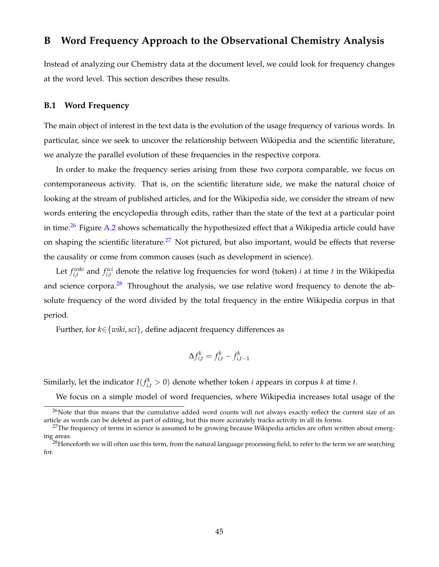### <span id="page-45-0"></span>**B Word Frequency Approach to the Observational Chemistry Analysis**

Instead of analyzing our Chemistry data at the document level, we could look for frequency changes at the word level. This section describes these results.

### **B.1 Word Frequency**

The main object of interest in the text data is the evolution of the usage frequency of various words. In particular, since we seek to uncover the relationship between Wikipedia and the scientific literature, we analyze the parallel evolution of these frequencies in the respective corpora.

In order to make the frequency series arising from these two corpora comparable, we focus on contemporaneous activity. That is, on the scientific literature side, we make the natural choice of looking at the stream of published articles, and for the Wikipedia side, we consider the stream of new words entering the encyclopedia through edits, rather than the state of the text at a particular point in time.<sup>[26](#page-45-1)</sup> Figure [A.2](#page-46-0) shows schematically the hypothesized effect that a Wikipedia article could have on shaping the scientific literature.<sup>[27](#page-45-2)</sup> Not pictured, but also important, would be effects that reverse the causality or come from common causes (such as development in science).

Let  $f_{i,t}^{wiki}$  and  $f_{i,t}^{sci}$  denote the relative log frequencies for word (token) *i* at time *t* in the Wikipedia and science corpora. $28$  Throughout the analysis, we use relative word frequency to denote the absolute frequency of the word divided by the total frequency in the entire Wikipedia corpus in that period.

Further, for *k*∈{*wiki*,*sci*}, define adjacent frequency differences as

$$
\Delta f_{i,t}^k = f_{i,t}^k - f_{i,t-1}^k
$$

Similarly, let the indicator  $I(f_{i,t}^k > 0)$  denote whether token *i* appears in corpus *k* at time *t*.

<span id="page-45-1"></span>We focus on a simple model of word frequencies, where Wikipedia increases total usage of the

 $^{26}$ Note that this means that the cumulative added word counts will not always exactly reflect the current size of an article as words can be deleted as part of editing, but this more accurately tracks activity in all its forms.

<span id="page-45-2"></span> $27$ The frequency of terms in science is assumed to be growing because Wikipedia articles are often written about emerging areas.

<span id="page-45-3"></span> $^{28}$ Henceforth we will often use this term, from the natural language processing field, to refer to the term we are searching for.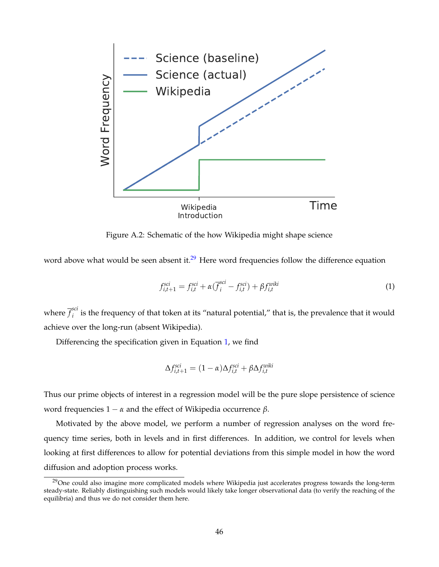<span id="page-46-0"></span>

Figure A.2: Schematic of the how Wikipedia might shape science

word above what would be seen absent it.<sup>[29](#page-46-1)</sup> Here word frequencies follow the difference equation

<span id="page-46-2"></span>
$$
f_{i,t+1}^{sci} = f_{i,t}^{sci} + \alpha(\overline{f}_i^{sci} - f_{i,t}^{sci}) + \beta f_{i,t}^{wik}
$$
\n
$$
\tag{1}
$$

where  $\overline{f}^{sci}_{i}$ <sup>oct</sup> is the frequency of that token at its "natural potential," that is, the prevalence that it would achieve over the long-run (absent Wikipedia).

Differencing the specification given in Equation [1,](#page-46-2) we find

$$
\Delta f_{i,t+1}^{sci} = (1 - \alpha) \Delta f_{i,t}^{sci} + \beta \Delta f_{i,t}^{wik}
$$

Thus our prime objects of interest in a regression model will be the pure slope persistence of science word frequencies 1 − *α* and the effect of Wikipedia occurrence *β*.

Motivated by the above model, we perform a number of regression analyses on the word frequency time series, both in levels and in first differences. In addition, we control for levels when looking at first differences to allow for potential deviations from this simple model in how the word diffusion and adoption process works.

<span id="page-46-1"></span> $^{29}$ One could also imagine more complicated models where Wikipedia just accelerates progress towards the long-term steady-state. Reliably distinguishing such models would likely take longer observational data (to verify the reaching of the equilibria) and thus we do not consider them here.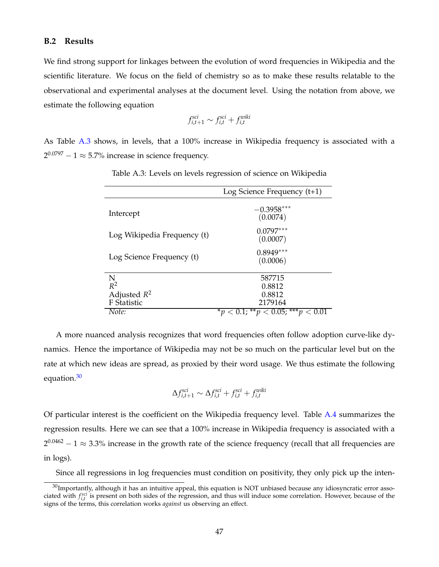#### **B.2 Results**

We find strong support for linkages between the evolution of word frequencies in Wikipedia and the scientific literature. We focus on the field of chemistry so as to make these results relatable to the observational and experimental analyses at the document level. Using the notation from above, we estimate the following equation

$$
f_{i,t+1}^{sci} \sim f_{i,t}^{sci} + f_{i,t}^{wik}
$$

<span id="page-47-0"></span>As Table [A.3](#page-47-0) shows, in levels, that a 100% increase in Wikipedia frequency is associated with a  $2^{0.0797} - 1 \approx 5.7\%$  increase in science frequency.

|                             | Log Science Frequency $(t+1)$ |
|-----------------------------|-------------------------------|
| Intercept                   | $-0.3958***$<br>(0.0074)      |
| Log Wikipedia Frequency (t) | $0.0797***$<br>(0.0007)       |
| Log Science Frequency (t)   | $0.8949***$<br>(0.0006)       |
| N                           | 587715                        |
| $R^2$                       | 0.8812                        |
| Adjusted $R^2$              | 0.8812                        |
| F Statistic                 | 2179164                       |
| Note:                       | 0.1; ** $p < 0.05$ ; *** $p$  |

Table A.3: Levels on levels regression of science on Wikipedia

A more nuanced analysis recognizes that word frequencies often follow adoption curve-like dynamics. Hence the importance of Wikipedia may not be so much on the particular level but on the rate at which new ideas are spread, as proxied by their word usage. We thus estimate the following equation.<sup>[30](#page-47-1)</sup>

$$
\Delta f_{i,t+1}^{sci} \sim \Delta f_{i,t}^{sci} + f_{i,t}^{sci} + f_{i,t}^{wik}
$$

Of particular interest is the coefficient on the Wikipedia frequency level. Table [A.4](#page-48-0) summarizes the regression results. Here we can see that a 100% increase in Wikipedia frequency is associated with a  $2^{0.0462} - 1 \approx 3.3\%$  increase in the growth rate of the science frequency (recall that all frequencies are in logs).

<span id="page-47-1"></span>Since all regressions in log frequencies must condition on positivity, they only pick up the inten-

 $30$ Importantly, although it has an intuitive appeal, this equation is NOT unbiased because any idiosyncratic error associated with  $f_{i,t}^{sci}$  is present on both sides of the regression, and thus will induce some correlation. However, because of the signs of the terms, this correlation works *against* us observing an effect.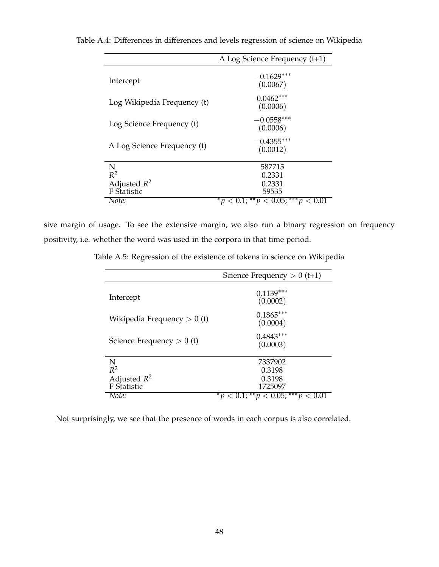|                                    | $\Delta$ Log Science Frequency (t+1)    |
|------------------------------------|-----------------------------------------|
| Intercept                          | $-0.1629***$<br>(0.0067)                |
| Log Wikipedia Frequency (t)        | $0.0462***$<br>(0.0006)                 |
| Log Science Frequency (t)          | $-0.0558***$<br>(0.0006)                |
| $\Delta$ Log Science Frequency (t) | $-0.4355***$<br>(0.0012)                |
| N                                  | 587715                                  |
| $R^2$                              | 0.2331                                  |
| Adjusted $R^2$                     | 0.2331                                  |
| F Statistic                        | 59535                                   |
| Note:                              | 0.1; ** $p < 0.05$ ; *** $p <$<br>$^*v$ |

<span id="page-48-0"></span>Table A.4: Differences in differences and levels regression of science on Wikipedia

sive margin of usage. To see the extensive margin, we also run a binary regression on frequency positivity, i.e. whether the word was used in the corpora in that time period.

Table A.5: Regression of the existence of tokens in science on Wikipedia

|                               | Science Frequency $> 0$ (t+1)   |  |  |
|-------------------------------|---------------------------------|--|--|
| Intercept                     | $0.1139***$<br>(0.0002)         |  |  |
| Wikipedia Frequency $> 0$ (t) | $0.1865***$<br>(0.0004)         |  |  |
| Science Frequency $> 0$ (t)   | $0.4843***$<br>(0.0003)         |  |  |
| N                             | 7337902                         |  |  |
| $R^2$                         | 0.3198                          |  |  |
| Adjusted $R^2$                | 0.3198                          |  |  |
| F Statistic                   | 1725097                         |  |  |
| Note:                         | $0.1$ ; ** $p < 0.05$ ; *** $p$ |  |  |

Not surprisingly, we see that the presence of words in each corpus is also correlated.